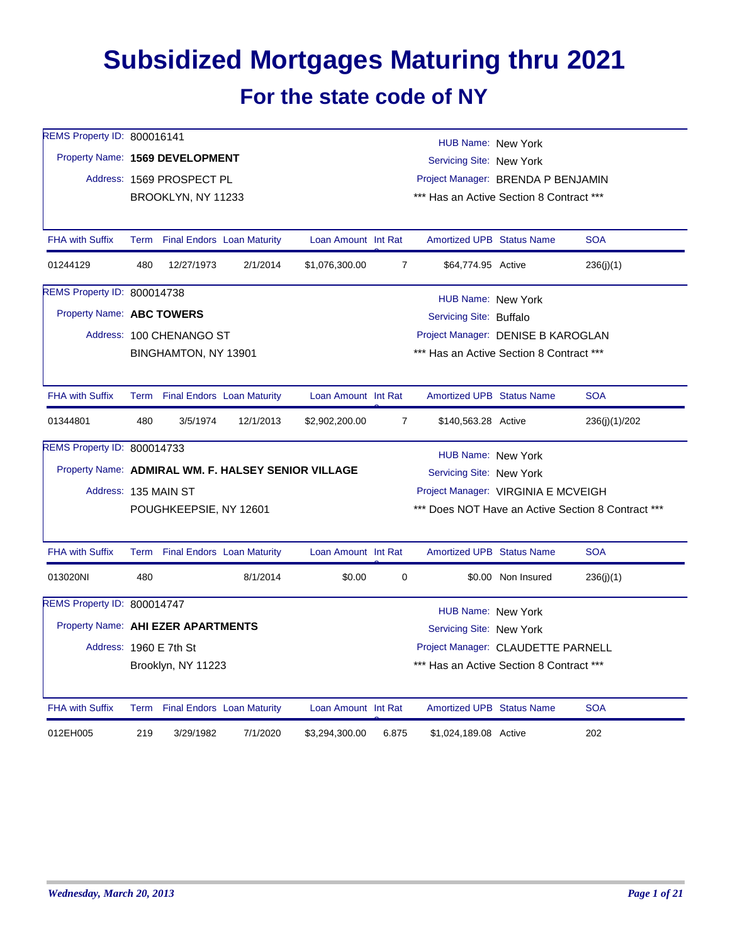## **Subsidized Mortgages Maturing thru 2021 For the state code of NY**

| REMS Property ID: 800016141        |     |                                 |                                 |                                                     |                | HUB Name: New York                       |                                    |                                                    |  |
|------------------------------------|-----|---------------------------------|---------------------------------|-----------------------------------------------------|----------------|------------------------------------------|------------------------------------|----------------------------------------------------|--|
| Property Name: 1569 DEVELOPMENT    |     |                                 |                                 |                                                     |                | Servicing Site: New York                 |                                    |                                                    |  |
|                                    |     | Address: 1569 PROSPECT PL       |                                 |                                                     |                | Project Manager: BRENDA P BENJAMIN       |                                    |                                                    |  |
|                                    |     | BROOKLYN, NY 11233              |                                 |                                                     |                | *** Has an Active Section 8 Contract *** |                                    |                                                    |  |
|                                    |     |                                 |                                 |                                                     |                |                                          |                                    |                                                    |  |
| <b>FHA with Suffix</b>             |     | Term Final Endors Loan Maturity |                                 | Loan Amount Int Rat                                 |                | Amortized UPB Status Name                |                                    | <b>SOA</b>                                         |  |
| 01244129                           | 480 | 12/27/1973                      | 2/1/2014                        | \$1,076,300.00                                      | $\overline{7}$ | \$64,774.95 Active                       |                                    | 236(j)(1)                                          |  |
| REMS Property ID: 800014738        |     |                                 |                                 |                                                     |                | HUB Name: New York                       |                                    |                                                    |  |
| Property Name: ABC TOWERS          |     |                                 |                                 |                                                     |                | Servicing Site: Buffalo                  |                                    |                                                    |  |
|                                    |     | Address: 100 CHENANGO ST        |                                 |                                                     |                |                                          | Project Manager: DENISE B KAROGLAN |                                                    |  |
|                                    |     | BINGHAMTON, NY 13901            |                                 |                                                     |                | *** Has an Active Section 8 Contract *** |                                    |                                                    |  |
|                                    |     |                                 |                                 |                                                     |                |                                          |                                    |                                                    |  |
| <b>FHA with Suffix</b>             |     | Term Final Endors Loan Maturity |                                 | Loan Amount Int Rat                                 |                | <b>Amortized UPB Status Name</b>         |                                    | <b>SOA</b>                                         |  |
| 01344801                           | 480 | 3/5/1974                        | 12/1/2013                       | \$2,902,200.00                                      | $\overline{7}$ | \$140,563.28 Active                      |                                    | 236(j)(1)/202                                      |  |
| REMS Property ID: 800014733        |     |                                 |                                 |                                                     |                | HUB Name: New York                       |                                    |                                                    |  |
|                                    |     |                                 |                                 | Property Name: ADMIRAL WM. F. HALSEY SENIOR VILLAGE |                | Servicing Site: New York                 |                                    |                                                    |  |
| Address: 135 MAIN ST               |     |                                 |                                 |                                                     |                | Project Manager: VIRGINIA E MCVEIGH      |                                    |                                                    |  |
|                                    |     | POUGHKEEPSIE, NY 12601          |                                 |                                                     |                |                                          |                                    | *** Does NOT Have an Active Section 8 Contract *** |  |
|                                    |     |                                 |                                 |                                                     |                |                                          |                                    |                                                    |  |
| <b>FHA with Suffix</b>             |     | Term Final Endors Loan Maturity |                                 | Loan Amount Int Rat                                 |                | <b>Amortized UPB Status Name</b>         |                                    | <b>SOA</b>                                         |  |
| 013020NI                           | 480 |                                 | 8/1/2014                        | \$0.00                                              | 0              |                                          | \$0.00 Non Insured                 | 236(j)(1)                                          |  |
| REMS Property ID: 800014747        |     |                                 |                                 |                                                     |                | HUB Name: New York                       |                                    |                                                    |  |
| Property Name: AHI EZER APARTMENTS |     |                                 |                                 |                                                     |                | Servicing Site: New York                 |                                    |                                                    |  |
| Address: 1960 E 7th St             |     |                                 |                                 |                                                     |                | Project Manager: CLAUDETTE PARNELL       |                                    |                                                    |  |
|                                    |     | Brooklyn, NY 11223              |                                 |                                                     |                | *** Has an Active Section 8 Contract *** |                                    |                                                    |  |
|                                    |     |                                 |                                 |                                                     |                |                                          |                                    |                                                    |  |
| <b>FHA with Suffix</b>             |     |                                 | Term Final Endors Loan Maturity | Loan Amount Int Rat                                 |                | <b>Amortized UPB Status Name</b>         |                                    | <b>SOA</b>                                         |  |
| 012EH005                           | 219 | 3/29/1982                       | 7/1/2020                        | \$3,294,300.00                                      | 6.875          | \$1,024,189.08 Active                    |                                    | 202                                                |  |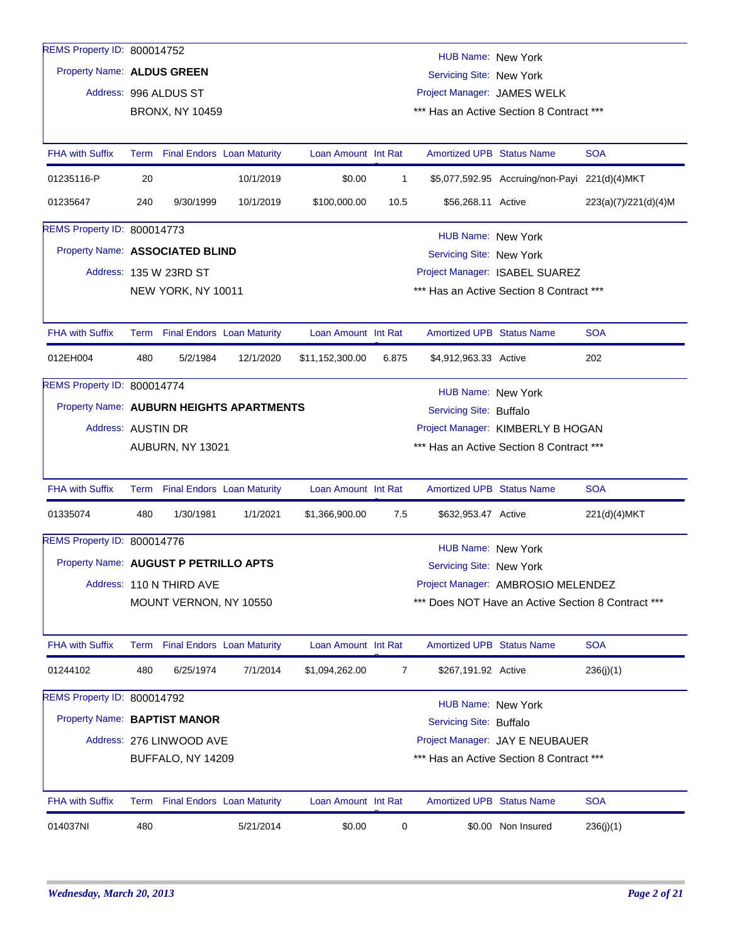| REMS Property ID: 800014752              |                    |                                 |                                   |                     |                                          | HUB Name: New York               |                                                    |                      |  |  |
|------------------------------------------|--------------------|---------------------------------|-----------------------------------|---------------------|------------------------------------------|----------------------------------|----------------------------------------------------|----------------------|--|--|
| Property Name: ALDUS GREEN               |                    |                                 |                                   |                     |                                          | Servicing Site: New York         |                                                    |                      |  |  |
|                                          |                    | Address: 996 ALDUS ST           |                                   |                     |                                          | Project Manager: JAMES WELK      |                                                    |                      |  |  |
|                                          |                    | <b>BRONX, NY 10459</b>          |                                   |                     | *** Has an Active Section 8 Contract *** |                                  |                                                    |                      |  |  |
| <b>FHA with Suffix</b>                   | Term               |                                 | <b>Final Endors Loan Maturity</b> | Loan Amount Int Rat |                                          | <b>Amortized UPB Status Name</b> |                                                    | <b>SOA</b>           |  |  |
|                                          |                    |                                 |                                   |                     |                                          |                                  |                                                    |                      |  |  |
| 01235116-P                               | 20                 |                                 | 10/1/2019                         | \$0.00              | $\mathbf{1}$                             |                                  | \$5,077,592.95 Accruing/non-Payi 221(d)(4)MKT      |                      |  |  |
| 01235647                                 | 240                | 9/30/1999                       | 10/1/2019                         | \$100,000.00        | 10.5                                     | \$56,268.11 Active               |                                                    | 223(a)(7)/221(d)(4)M |  |  |
| REMS Property ID: 800014773              |                    |                                 |                                   |                     |                                          | HUB Name: New York               |                                                    |                      |  |  |
| Property Name: ASSOCIATED BLIND          |                    |                                 |                                   |                     |                                          | Servicing Site: New York         |                                                    |                      |  |  |
|                                          |                    | Address: 135 W 23RD ST          |                                   |                     |                                          |                                  | Project Manager: ISABEL SUAREZ                     |                      |  |  |
|                                          |                    | NEW YORK, NY 10011              |                                   |                     |                                          |                                  | *** Has an Active Section 8 Contract ***           |                      |  |  |
| <b>FHA with Suffix</b>                   |                    |                                 | Term Final Endors Loan Maturity   | Loan Amount Int Rat |                                          | <b>Amortized UPB Status Name</b> |                                                    | <b>SOA</b>           |  |  |
| 012EH004                                 | 480                | 5/2/1984                        | 12/1/2020                         | \$11,152,300.00     | 6.875                                    | \$4,912,963.33 Active            |                                                    | 202                  |  |  |
| REMS Property ID: 800014774              |                    |                                 |                                   |                     |                                          | HUB Name: New York               |                                                    |                      |  |  |
| Property Name: AUBURN HEIGHTS APARTMENTS |                    |                                 |                                   |                     | Servicing Site: Buffalo                  |                                  |                                                    |                      |  |  |
|                                          | Address: AUSTIN DR |                                 |                                   |                     |                                          |                                  | Project Manager: KIMBERLY B HOGAN                  |                      |  |  |
|                                          |                    | AUBURN, NY 13021                |                                   |                     |                                          |                                  | *** Has an Active Section 8 Contract ***           |                      |  |  |
| <b>FHA with Suffix</b>                   |                    |                                 | Term Final Endors Loan Maturity   | Loan Amount Int Rat |                                          | <b>Amortized UPB Status Name</b> |                                                    | <b>SOA</b>           |  |  |
| 01335074                                 | 480                | 1/30/1981                       | 1/1/2021                          | \$1,366,900.00      | 7.5                                      | \$632,953.47 Active              |                                                    | 221(d)(4)MKT         |  |  |
| REMS Property ID: 800014776              |                    |                                 |                                   |                     |                                          | <b>HUB Name: New York</b>        |                                                    |                      |  |  |
| Property Name: AUGUST P PETRILLO APTS    |                    |                                 |                                   |                     |                                          | Servicing Site: New York         |                                                    |                      |  |  |
|                                          |                    | Address: 110 N THIRD AVE        |                                   |                     |                                          |                                  | Project Manager: AMBROSIO MELENDEZ                 |                      |  |  |
|                                          |                    | MOUNT VERNON, NY 10550          |                                   |                     |                                          |                                  | *** Does NOT Have an Active Section 8 Contract *** |                      |  |  |
| <b>FHA with Suffix</b>                   |                    | Term Final Endors Loan Maturity |                                   | Loan Amount Int Rat |                                          | <b>Amortized UPB Status Name</b> |                                                    | <b>SOA</b>           |  |  |
| 01244102                                 | 480                | 6/25/1974                       | 7/1/2014                          | \$1,094,262.00      | $\overline{7}$                           | \$267,191.92 Active              |                                                    | 236(j)(1)            |  |  |
| REMS Property ID: 800014792              |                    |                                 |                                   |                     |                                          | HUB Name: New York               |                                                    |                      |  |  |
| Property Name: BAPTIST MANOR             |                    |                                 |                                   |                     |                                          | Servicing Site: Buffalo          |                                                    |                      |  |  |
|                                          |                    | Address: 276 LINWOOD AVE        |                                   |                     |                                          |                                  | Project Manager: JAY E NEUBAUER                    |                      |  |  |
|                                          |                    | BUFFALO, NY 14209               |                                   |                     |                                          |                                  | *** Has an Active Section 8 Contract ***           |                      |  |  |
| <b>FHA with Suffix</b>                   |                    | Term Final Endors Loan Maturity |                                   | Loan Amount Int Rat |                                          | <b>Amortized UPB Status Name</b> |                                                    | <b>SOA</b>           |  |  |
| 014037NI                                 | 480                |                                 | 5/21/2014                         | \$0.00              | 0                                        |                                  | \$0.00 Non Insured                                 | 236(j)(1)            |  |  |
|                                          |                    |                                 |                                   |                     |                                          |                                  |                                                    |                      |  |  |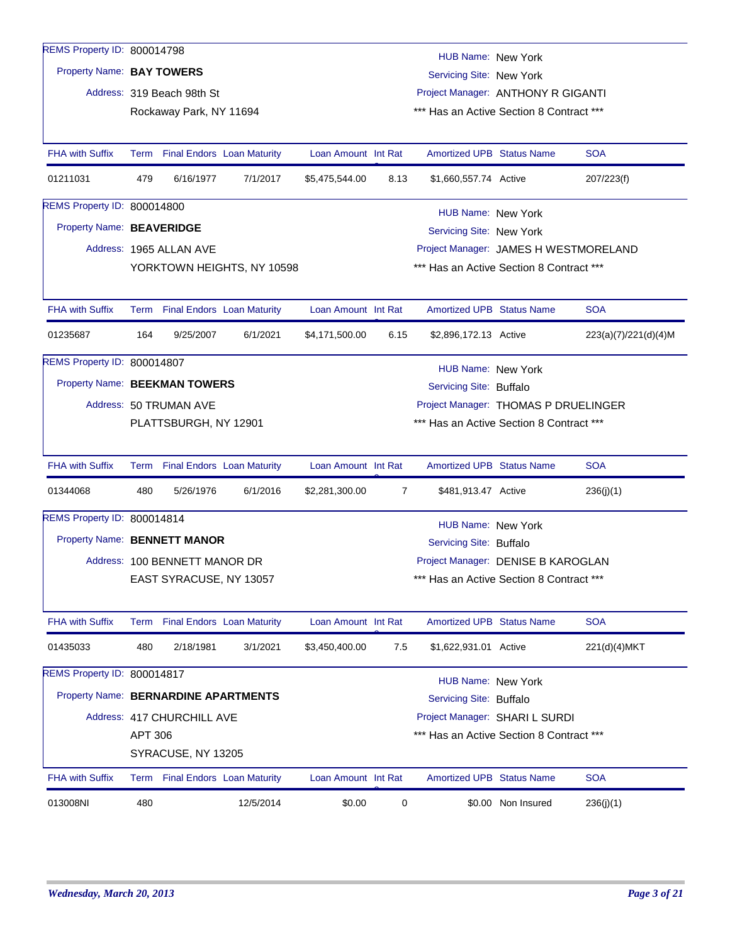| REMS Property ID: 800014798          |         |                               |                                 |                     |      | HUB Name: New York                       |                    |                      |
|--------------------------------------|---------|-------------------------------|---------------------------------|---------------------|------|------------------------------------------|--------------------|----------------------|
| Property Name: BAY TOWERS            |         |                               |                                 |                     |      | Servicing Site: New York                 |                    |                      |
|                                      |         | Address: 319 Beach 98th St    |                                 |                     |      | Project Manager: ANTHONY R GIGANTI       |                    |                      |
|                                      |         | Rockaway Park, NY 11694       |                                 |                     |      | *** Has an Active Section 8 Contract *** |                    |                      |
|                                      |         |                               |                                 |                     |      |                                          |                    |                      |
| <b>FHA with Suffix</b>               |         |                               | Term Final Endors Loan Maturity | Loan Amount Int Rat |      | <b>Amortized UPB Status Name</b>         |                    | <b>SOA</b>           |
| 01211031                             | 479     | 6/16/1977                     | 7/1/2017                        | \$5,475,544.00      | 8.13 | \$1,660,557.74 Active                    |                    | 207/223(f)           |
| REMS Property ID: 800014800          |         |                               |                                 |                     |      | <b>HUB Name: New York</b>                |                    |                      |
| Property Name: BEAVERIDGE            |         |                               |                                 |                     |      | Servicing Site: New York                 |                    |                      |
|                                      |         | Address: 1965 ALLAN AVE       |                                 |                     |      | Project Manager: JAMES H WESTMORELAND    |                    |                      |
|                                      |         |                               | YORKTOWN HEIGHTS, NY 10598      |                     |      | *** Has an Active Section 8 Contract *** |                    |                      |
|                                      |         |                               |                                 |                     |      |                                          |                    |                      |
| <b>FHA with Suffix</b>               |         |                               | Term Final Endors Loan Maturity | Loan Amount Int Rat |      | <b>Amortized UPB Status Name</b>         |                    | <b>SOA</b>           |
| 01235687                             | 164     | 9/25/2007                     | 6/1/2021                        | \$4,171,500.00      | 6.15 | \$2,896,172.13 Active                    |                    | 223(a)(7)/221(d)(4)M |
| REMS Property ID: 800014807          |         |                               |                                 |                     |      | <b>HUB Name: New York</b>                |                    |                      |
| Property Name: BEEKMAN TOWERS        |         |                               |                                 |                     |      | Servicing Site: Buffalo                  |                    |                      |
|                                      |         | Address: 50 TRUMAN AVE        |                                 |                     |      | Project Manager: THOMAS P DRUELINGER     |                    |                      |
|                                      |         | PLATTSBURGH, NY 12901         |                                 |                     |      | *** Has an Active Section 8 Contract *** |                    |                      |
|                                      |         |                               |                                 |                     |      |                                          |                    |                      |
| FHA with Suffix                      |         |                               | Term Final Endors Loan Maturity | Loan Amount Int Rat |      | <b>Amortized UPB Status Name</b>         |                    | <b>SOA</b>           |
| 01344068                             | 480     | 5/26/1976                     | 6/1/2016                        | \$2,281,300.00      | 7    | \$481,913.47 Active                      |                    | 236(j)(1)            |
| REMS Property ID: 800014814          |         |                               |                                 |                     |      | <b>HUB Name: New York</b>                |                    |                      |
| Property Name: BENNETT MANOR         |         |                               |                                 |                     |      | Servicing Site: Buffalo                  |                    |                      |
|                                      |         | Address: 100 BENNETT MANOR DR |                                 |                     |      | Project Manager: DENISE B KAROGLAN       |                    |                      |
|                                      |         | EAST SYRACUSE, NY 13057       |                                 |                     |      | *** Has an Active Section 8 Contract *** |                    |                      |
|                                      |         |                               |                                 |                     |      |                                          |                    |                      |
| <b>FHA with Suffix</b>               |         |                               | Term Final Endors Loan Maturity | Loan Amount Int Rat |      | <b>Amortized UPB Status Name</b>         |                    | <b>SOA</b>           |
| 01435033                             | 480     | 2/18/1981                     | 3/1/2021                        | \$3,450,400.00      | 7.5  | \$1,622,931.01 Active                    |                    | 221(d)(4)MKT         |
| REMS Property ID: 800014817          |         |                               |                                 |                     |      | <b>HUB Name: New York</b>                |                    |                      |
| Property Name: BERNARDINE APARTMENTS |         |                               |                                 |                     |      | Servicing Site: Buffalo                  |                    |                      |
|                                      |         | Address: 417 CHURCHILL AVE    |                                 |                     |      | Project Manager: SHARI L SURDI           |                    |                      |
|                                      | APT 306 |                               |                                 |                     |      | *** Has an Active Section 8 Contract *** |                    |                      |
|                                      |         | SYRACUSE, NY 13205            |                                 |                     |      |                                          |                    |                      |
|                                      |         |                               |                                 |                     |      |                                          |                    |                      |
| <b>FHA with Suffix</b>               |         |                               | Term Final Endors Loan Maturity | Loan Amount Int Rat |      | <b>Amortized UPB Status Name</b>         |                    | <b>SOA</b>           |
| 013008NI                             | 480     |                               | 12/5/2014                       | \$0.00              | 0    |                                          | \$0.00 Non Insured | 236(j)(1)            |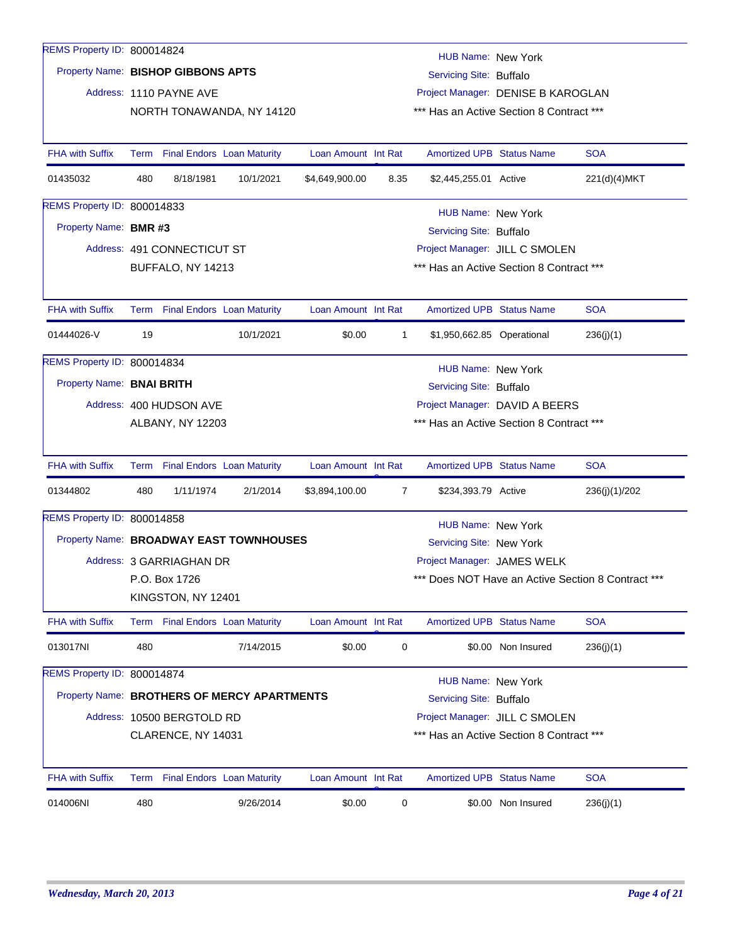| REMS Property ID: 800014824        |     |                                 |                                             |                     |              | <b>HUB Name: New York</b>        |                                          |                                                |
|------------------------------------|-----|---------------------------------|---------------------------------------------|---------------------|--------------|----------------------------------|------------------------------------------|------------------------------------------------|
| Property Name: BISHOP GIBBONS APTS |     |                                 |                                             |                     |              | Servicing Site: Buffalo          |                                          |                                                |
|                                    |     | Address: 1110 PAYNE AVE         |                                             |                     |              |                                  | Project Manager: DENISE B KAROGLAN       |                                                |
|                                    |     |                                 | NORTH TONAWANDA, NY 14120                   |                     |              |                                  | *** Has an Active Section 8 Contract *** |                                                |
|                                    |     |                                 |                                             |                     |              |                                  |                                          |                                                |
| <b>FHA with Suffix</b>             |     | Term Final Endors Loan Maturity |                                             | Loan Amount Int Rat |              | <b>Amortized UPB Status Name</b> |                                          | <b>SOA</b>                                     |
| 01435032                           | 480 | 8/18/1981                       | 10/1/2021                                   | \$4,649,900.00      | 8.35         | \$2,445,255.01 Active            |                                          | 221(d)(4)MKT                                   |
| REMS Property ID: 800014833        |     |                                 |                                             |                     |              | HUB Name: New York               |                                          |                                                |
| Property Name: BMR #3              |     |                                 |                                             |                     |              | Servicing Site: Buffalo          |                                          |                                                |
|                                    |     | Address: 491 CONNECTICUT ST     |                                             |                     |              |                                  | Project Manager: JILL C SMOLEN           |                                                |
|                                    |     | BUFFALO, NY 14213               |                                             |                     |              |                                  | *** Has an Active Section 8 Contract *** |                                                |
|                                    |     |                                 |                                             |                     |              |                                  |                                          |                                                |
| <b>FHA with Suffix</b>             |     | Term Final Endors Loan Maturity |                                             | Loan Amount Int Rat |              | <b>Amortized UPB Status Name</b> |                                          | <b>SOA</b>                                     |
| 01444026-V                         | 19  |                                 | 10/1/2021                                   | \$0.00              | $\mathbf{1}$ | \$1,950,662.85 Operational       |                                          | 236(j)(1)                                      |
| REMS Property ID: 800014834        |     |                                 |                                             |                     |              | HUB Name: New York               |                                          |                                                |
| Property Name: BNAI BRITH          |     |                                 |                                             |                     |              | Servicing Site: Buffalo          |                                          |                                                |
|                                    |     | Address: 400 HUDSON AVE         |                                             |                     |              |                                  | Project Manager: DAVID A BEERS           |                                                |
|                                    |     | ALBANY, NY 12203                |                                             |                     |              |                                  | *** Has an Active Section 8 Contract *** |                                                |
|                                    |     |                                 |                                             |                     |              |                                  |                                          |                                                |
| <b>FHA with Suffix</b>             |     | Term Final Endors Loan Maturity |                                             | Loan Amount Int Rat |              | <b>Amortized UPB Status Name</b> |                                          | <b>SOA</b>                                     |
| 01344802                           | 480 | 1/11/1974                       | 2/1/2014                                    | \$3,894,100.00      | 7            | \$234,393.79 Active              |                                          | 236(j)(1)/202                                  |
| REMS Property ID: 800014858        |     |                                 |                                             |                     |              | <b>HUB Name: New York</b>        |                                          |                                                |
|                                    |     |                                 | Property Name: BROADWAY EAST TOWNHOUSES     |                     |              | Servicing Site: New York         |                                          |                                                |
|                                    |     | Address: 3 GARRIAGHAN DR        |                                             |                     |              | Project Manager: JAMES WELK      |                                          |                                                |
|                                    |     | P.O. Box 1726                   |                                             |                     |              |                                  |                                          | Does NOT Have an Active Section 8 Contract *** |
|                                    |     | KINGSTON, NY 12401              |                                             |                     |              |                                  |                                          |                                                |
| <b>FHA with Suffix</b>             |     | Term Final Endors Loan Maturity |                                             | Loan Amount Int Rat |              | <b>Amortized UPB Status Name</b> |                                          | <b>SOA</b>                                     |
| 013017NI                           | 480 |                                 | 7/14/2015                                   | \$0.00              | 0            |                                  | \$0.00 Non Insured                       | 236(j)(1)                                      |
| REMS Property ID: 800014874        |     |                                 |                                             |                     |              | <b>HUB Name: New York</b>        |                                          |                                                |
|                                    |     |                                 | Property Name: BROTHERS OF MERCY APARTMENTS |                     |              | Servicing Site: Buffalo          |                                          |                                                |
|                                    |     | Address: 10500 BERGTOLD RD      |                                             |                     |              |                                  | Project Manager: JILL C SMOLEN           |                                                |
|                                    |     | CLARENCE, NY 14031              |                                             |                     |              |                                  | *** Has an Active Section 8 Contract *** |                                                |
|                                    |     |                                 |                                             |                     |              |                                  |                                          |                                                |
| <b>FHA with Suffix</b>             |     | Term Final Endors Loan Maturity |                                             | Loan Amount Int Rat |              | Amortized UPB Status Name        |                                          | <b>SOA</b>                                     |
| 014006NI                           | 480 |                                 | 9/26/2014                                   | \$0.00              | 0            |                                  | \$0.00 Non Insured                       | 236(j)(1)                                      |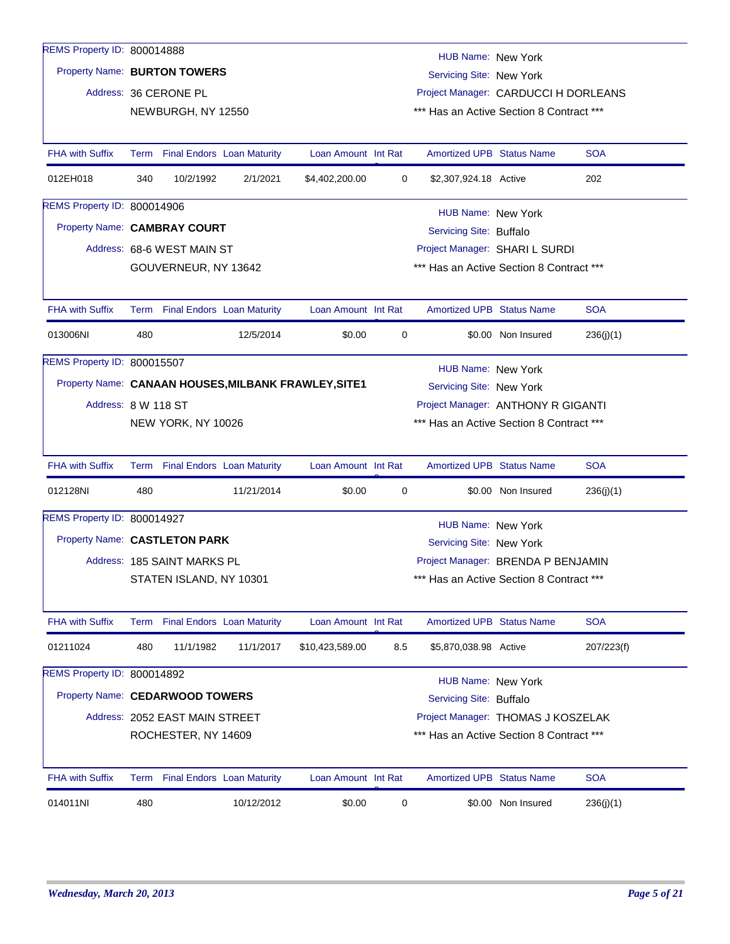| REMS Property ID: 800014888     |      |                                 |                                   |                                                      |     | <b>HUB Name: New York</b>                             |                    |            |  |
|---------------------------------|------|---------------------------------|-----------------------------------|------------------------------------------------------|-----|-------------------------------------------------------|--------------------|------------|--|
| Property Name: BURTON TOWERS    |      |                                 |                                   |                                                      |     | Servicing Site: New York                              |                    |            |  |
|                                 |      | Address: 36 CERONE PL           |                                   |                                                      |     | Project Manager: CARDUCCI H DORLEANS                  |                    |            |  |
|                                 |      | NEWBURGH, NY 12550              |                                   |                                                      |     | *** Has an Active Section 8 Contract ***              |                    |            |  |
|                                 |      |                                 |                                   |                                                      |     |                                                       |                    |            |  |
| <b>FHA with Suffix</b>          |      | Term Final Endors Loan Maturity |                                   | Loan Amount Int Rat                                  |     | <b>Amortized UPB Status Name</b>                      |                    | <b>SOA</b> |  |
| 012EH018                        | 340  | 10/2/1992                       | 2/1/2021                          | \$4,402,200.00                                       | 0   | \$2,307,924.18 Active                                 |                    | 202        |  |
| REMS Property ID: 800014906     |      |                                 |                                   |                                                      |     | HUB Name: New York                                    |                    |            |  |
| Property Name: CAMBRAY COURT    |      |                                 |                                   |                                                      |     | Servicing Site: Buffalo                               |                    |            |  |
|                                 |      | Address: 68-6 WEST MAIN ST      |                                   |                                                      |     | Project Manager: SHARI L SURDI                        |                    |            |  |
|                                 |      | GOUVERNEUR, NY 13642            |                                   |                                                      |     | *** Has an Active Section 8 Contract ***              |                    |            |  |
| <b>FHA with Suffix</b>          |      | Term Final Endors Loan Maturity |                                   | Loan Amount Int Rat                                  |     | <b>Amortized UPB Status Name</b>                      |                    | <b>SOA</b> |  |
| 013006NI                        | 480  |                                 | 12/5/2014                         | \$0.00                                               | 0   |                                                       | \$0.00 Non Insured | 236(j)(1)  |  |
| REMS Property ID: 800015507     |      |                                 |                                   |                                                      |     |                                                       |                    |            |  |
|                                 |      |                                 |                                   | Property Name: CANAAN HOUSES, MILBANK FRAWLEY, SITE1 |     | <b>HUB Name: New York</b><br>Servicing Site: New York |                    |            |  |
| Address: 8 W 118 ST             |      |                                 |                                   |                                                      |     | Project Manager: ANTHONY R GIGANTI                    |                    |            |  |
|                                 |      | NEW YORK, NY 10026              |                                   |                                                      |     | *** Has an Active Section 8 Contract ***              |                    |            |  |
|                                 |      |                                 |                                   |                                                      |     |                                                       |                    |            |  |
| <b>FHA with Suffix</b>          |      | Term Final Endors Loan Maturity |                                   | Loan Amount Int Rat                                  |     | Amortized UPB Status Name                             |                    | <b>SOA</b> |  |
| 012128NI                        | 480  |                                 | 11/21/2014                        | \$0.00                                               | 0   |                                                       | \$0.00 Non Insured | 236(j)(1)  |  |
| REMS Property ID: 800014927     |      |                                 |                                   |                                                      |     | <b>HUB Name: New York</b>                             |                    |            |  |
| Property Name: CASTLETON PARK   |      |                                 |                                   |                                                      |     | Servicing Site: New York                              |                    |            |  |
|                                 |      | Address: 185 SAINT MARKS PL     |                                   |                                                      |     | Project Manager: BRENDA P BENJAMIN                    |                    |            |  |
|                                 |      | STATEN ISLAND, NY 10301         |                                   |                                                      |     | *** Has an Active Section 8 Contract ***              |                    |            |  |
| <b>FHA with Suffix</b>          | Term |                                 | <b>Final Endors Loan Maturity</b> | Loan Amount Int Rat                                  |     | <b>Amortized UPB Status Name</b>                      |                    | <b>SOA</b> |  |
| 01211024                        | 480  | 11/1/1982                       | 11/1/2017                         | \$10,423,589.00                                      | 8.5 | \$5,870,038.98 Active                                 |                    | 207/223(f) |  |
| REMS Property ID: 800014892     |      |                                 |                                   |                                                      |     | <b>HUB Name: New York</b>                             |                    |            |  |
| Property Name: CEDARWOOD TOWERS |      |                                 |                                   |                                                      |     | Servicing Site: Buffalo                               |                    |            |  |
|                                 |      | Address: 2052 EAST MAIN STREET  |                                   |                                                      |     | Project Manager: THOMAS J KOSZELAK                    |                    |            |  |
|                                 |      | ROCHESTER, NY 14609             |                                   |                                                      |     | *** Has an Active Section 8 Contract ***              |                    |            |  |
|                                 |      |                                 |                                   |                                                      |     |                                                       |                    |            |  |
| <b>FHA with Suffix</b>          |      | Term Final Endors Loan Maturity |                                   | Loan Amount Int Rat                                  |     | <b>Amortized UPB Status Name</b>                      |                    | <b>SOA</b> |  |
| 014011NI                        | 480  |                                 | 10/12/2012                        | \$0.00                                               | 0   |                                                       | \$0.00 Non Insured | 236(j)(1)  |  |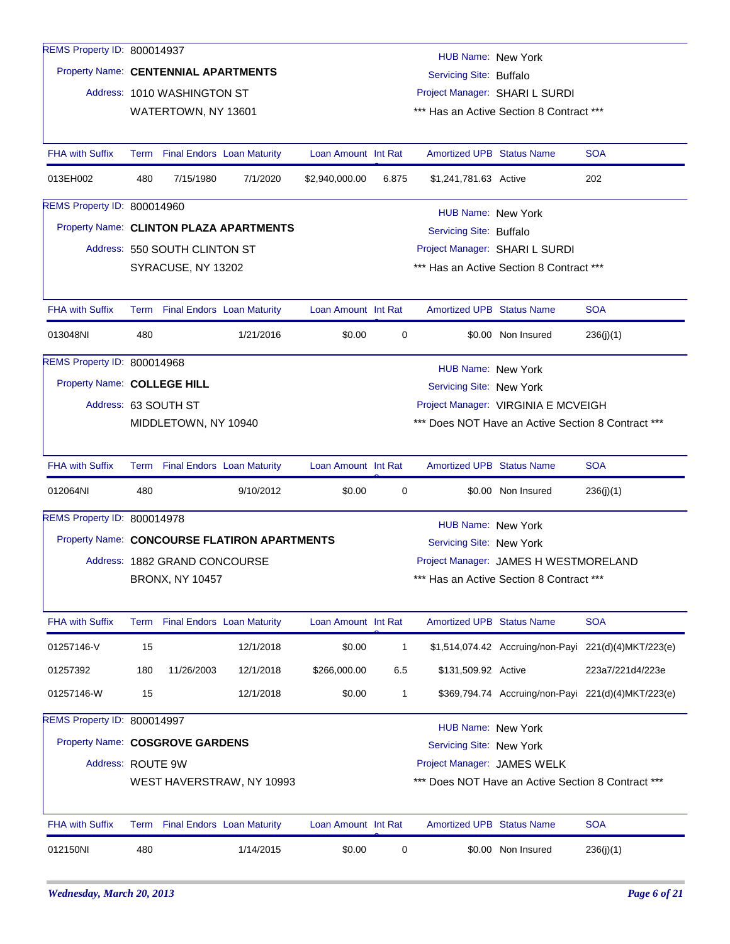| REMS Property ID: 800014937          |                                                                                 |                               |                                              |                     |              | HUB Name: New York               |                                                    |                                                      |
|--------------------------------------|---------------------------------------------------------------------------------|-------------------------------|----------------------------------------------|---------------------|--------------|----------------------------------|----------------------------------------------------|------------------------------------------------------|
| Property Name: CENTENNIAL APARTMENTS |                                                                                 |                               |                                              |                     |              | Servicing Site: Buffalo          |                                                    |                                                      |
|                                      |                                                                                 | Address: 1010 WASHINGTON ST   |                                              |                     |              |                                  | Project Manager: SHARI L SURDI                     |                                                      |
|                                      |                                                                                 | WATERTOWN, NY 13601           |                                              |                     |              |                                  | *** Has an Active Section 8 Contract ***           |                                                      |
| <b>FHA with Suffix</b>               |                                                                                 |                               | Term Final Endors Loan Maturity              | Loan Amount Int Rat |              | <b>Amortized UPB Status Name</b> |                                                    | <b>SOA</b>                                           |
| 013EH002                             | 480                                                                             | 7/15/1980                     | 7/1/2020                                     | \$2,940,000.00      | 6.875        | \$1,241,781.63 Active            |                                                    | 202                                                  |
| REMS Property ID: 800014960          |                                                                                 |                               |                                              |                     |              | HUB Name: New York               |                                                    |                                                      |
|                                      |                                                                                 |                               | Property Name: CLINTON PLAZA APARTMENTS      |                     |              | Servicing Site: Buffalo          |                                                    |                                                      |
|                                      |                                                                                 | Address: 550 SOUTH CLINTON ST |                                              |                     |              |                                  | Project Manager: SHARI L SURDI                     |                                                      |
|                                      |                                                                                 | SYRACUSE, NY 13202            |                                              |                     |              |                                  | *** Has an Active Section 8 Contract ***           |                                                      |
| <b>FHA with Suffix</b>               |                                                                                 |                               | Term Final Endors Loan Maturity              | Loan Amount Int Rat |              | <b>Amortized UPB Status Name</b> |                                                    | <b>SOA</b>                                           |
| 013048NI                             | 480                                                                             |                               | 1/21/2016                                    | \$0.00              | 0            |                                  | \$0.00 Non Insured                                 | 236(j)(1)                                            |
| REMS Property ID: 800014968          |                                                                                 |                               |                                              |                     |              | HUB Name: New York               |                                                    |                                                      |
| Property Name: COLLEGE HILL          |                                                                                 |                               |                                              |                     |              | Servicing Site: New York         |                                                    |                                                      |
|                                      |                                                                                 | Address: 63 SOUTH ST          |                                              |                     |              |                                  | Project Manager: VIRGINIA E MCVEIGH                |                                                      |
|                                      |                                                                                 | MIDDLETOWN, NY 10940          |                                              |                     |              |                                  | *** Does NOT Have an Active Section 8 Contract *** |                                                      |
| <b>FHA with Suffix</b>               |                                                                                 |                               | Term Final Endors Loan Maturity              | Loan Amount Int Rat |              | <b>Amortized UPB Status Name</b> |                                                    | <b>SOA</b>                                           |
| 012064NI                             | 480                                                                             |                               | 9/10/2012                                    | \$0.00              | 0            |                                  | \$0.00 Non Insured                                 | 236(j)(1)                                            |
| REMS Property ID: 800014978          |                                                                                 |                               |                                              |                     |              | <b>HUB Name: New York</b>        |                                                    |                                                      |
|                                      |                                                                                 |                               | Property Name: CONCOURSE FLATIRON APARTMENTS |                     |              | Servicing Site: New York         |                                                    |                                                      |
|                                      |                                                                                 | Address: 1882 GRAND CONCOURSE |                                              |                     |              |                                  | Project Manager: JAMES H WESTMORELAND              |                                                      |
|                                      |                                                                                 | <b>BRONX, NY 10457</b>        |                                              |                     |              |                                  | *** Has an Active Section 8 Contract ***           |                                                      |
| <b>FHA with Suffix</b>               |                                                                                 |                               | Term Final Endors Loan Maturity              | Loan Amount Int Rat |              | Amortized UPB Status Name        |                                                    | <b>SOA</b>                                           |
| 01257146-V                           | 15                                                                              |                               | 12/1/2018                                    | \$0.00              | $\mathbf{1}$ |                                  |                                                    | \$1,514,074.42 Accruing/non-Payi 221(d)(4)MKT/223(e) |
| 01257392                             | 180                                                                             | 11/26/2003                    | 12/1/2018                                    | \$266,000.00        | 6.5          | \$131,509.92 Active              |                                                    | 223a7/221d4/223e                                     |
| 01257146-W                           | 15                                                                              |                               | 12/1/2018                                    | \$0.00              | 1            |                                  |                                                    | \$369,794.74 Accruing/non-Payi 221(d)(4)MKT/223(e)   |
| REMS Property ID: 800014997          |                                                                                 |                               |                                              |                     |              | HUB Name: New York               |                                                    |                                                      |
| Property Name: COSGROVE GARDENS      |                                                                                 |                               |                                              |                     |              | Servicing Site: New York         |                                                    |                                                      |
| Address: ROUTE 9W                    |                                                                                 |                               |                                              |                     |              | Project Manager: JAMES WELK      |                                                    |                                                      |
|                                      | *** Does NOT Have an Active Section 8 Contract ***<br>WEST HAVERSTRAW, NY 10993 |                               |                                              |                     |              |                                  |                                                    |                                                      |
| <b>FHA with Suffix</b>               |                                                                                 |                               | Term Final Endors Loan Maturity              | Loan Amount Int Rat |              | <b>Amortized UPB Status Name</b> |                                                    | <b>SOA</b>                                           |
| 012150NI                             | 480                                                                             |                               | 1/14/2015                                    | \$0.00              | 0            |                                  | \$0.00 Non Insured                                 | 236(j)(1)                                            |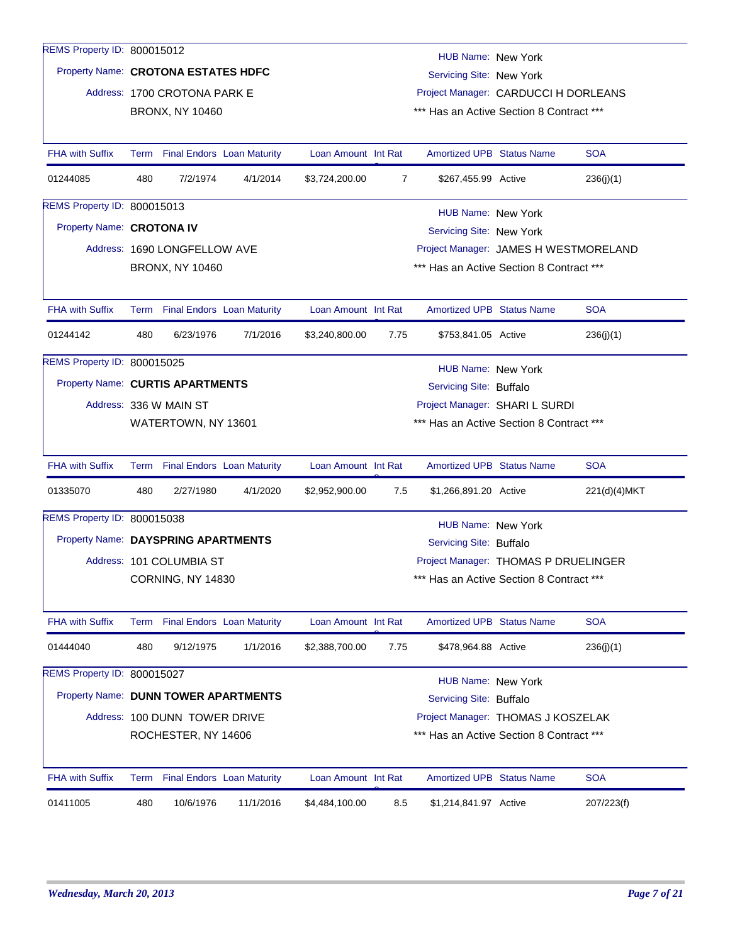| REMS Property ID: 800015012          |                                                                 |                                 |           |                     |      |                                          |  |              |  |
|--------------------------------------|-----------------------------------------------------------------|---------------------------------|-----------|---------------------|------|------------------------------------------|--|--------------|--|
|                                      |                                                                 |                                 |           |                     |      | HUB Name: New York                       |  |              |  |
| Property Name: CROTONA ESTATES HDFC  |                                                                 |                                 |           |                     |      | Servicing Site: New York                 |  |              |  |
|                                      |                                                                 | Address: 1700 CROTONA PARK E    |           |                     |      | Project Manager: CARDUCCI H DORLEANS     |  |              |  |
|                                      |                                                                 | <b>BRONX, NY 10460</b>          |           |                     |      | *** Has an Active Section 8 Contract *** |  |              |  |
| <b>FHA with Suffix</b>               |                                                                 | Term Final Endors Loan Maturity |           | Loan Amount Int Rat |      | <b>Amortized UPB Status Name</b>         |  | <b>SOA</b>   |  |
| 01244085                             | 480                                                             | 7/2/1974                        | 4/1/2014  | \$3,724,200.00      | 7    | \$267,455.99 Active                      |  | 236(j)(1)    |  |
| REMS Property ID: 800015013          |                                                                 |                                 |           |                     |      | HUB Name: New York                       |  |              |  |
| Property Name: CROTONA IV            |                                                                 |                                 |           |                     |      | Servicing Site: New York                 |  |              |  |
|                                      |                                                                 | Address: 1690 LONGFELLOW AVE    |           |                     |      | Project Manager: JAMES H WESTMORELAND    |  |              |  |
|                                      |                                                                 | <b>BRONX, NY 10460</b>          |           |                     |      | *** Has an Active Section 8 Contract *** |  |              |  |
| <b>FHA with Suffix</b>               |                                                                 | Term Final Endors Loan Maturity |           | Loan Amount Int Rat |      | <b>Amortized UPB Status Name</b>         |  | <b>SOA</b>   |  |
| 01244142                             | 480                                                             | 6/23/1976                       | 7/1/2016  | \$3,240,800.00      | 7.75 | \$753,841.05 Active                      |  | 236(j)(1)    |  |
| REMS Property ID: 800015025          |                                                                 |                                 |           |                     |      | HUB Name: New York                       |  |              |  |
| Property Name: CURTIS APARTMENTS     |                                                                 |                                 |           |                     |      | Servicing Site: Buffalo                  |  |              |  |
|                                      |                                                                 | Address: 336 W MAIN ST          |           |                     |      | Project Manager: SHARI L SURDI           |  |              |  |
|                                      |                                                                 | WATERTOWN, NY 13601             |           |                     |      | *** Has an Active Section 8 Contract *** |  |              |  |
| <b>FHA with Suffix</b>               |                                                                 | Term Final Endors Loan Maturity |           | Loan Amount Int Rat |      | <b>Amortized UPB Status Name</b>         |  | <b>SOA</b>   |  |
| 01335070                             | 480                                                             | 2/27/1980                       | 4/1/2020  | \$2,952,900.00      | 7.5  | \$1,266,891.20 Active                    |  | 221(d)(4)MKT |  |
| REMS Property ID: 800015038          |                                                                 |                                 |           |                     |      | <b>HUB Name: New York</b>                |  |              |  |
| Property Name: DAYSPRING APARTMENTS  |                                                                 |                                 |           |                     |      | Servicing Site: Buffalo                  |  |              |  |
|                                      |                                                                 | Address: 101 COLUMBIA ST        |           |                     |      | Project Manager: THOMAS P DRUELINGER     |  |              |  |
|                                      |                                                                 | CORNING, NY 14830               |           |                     |      | *** Has an Active Section 8 Contract *** |  |              |  |
| <b>FHA with Suffix</b>               |                                                                 | Term Final Endors Loan Maturity |           | Loan Amount Int Rat |      | <b>Amortized UPB Status Name</b>         |  | <b>SOA</b>   |  |
| 01444040                             | 480                                                             | 9/12/1975                       | 1/1/2016  | \$2,388,700.00      | 7.75 | \$478,964.88 Active                      |  | 236(j)(1)    |  |
| REMS Property ID: 800015027          |                                                                 |                                 |           |                     |      | <b>HUB Name: New York</b>                |  |              |  |
| Property Name: DUNN TOWER APARTMENTS |                                                                 |                                 |           |                     |      | Servicing Site: Buffalo                  |  |              |  |
|                                      |                                                                 | Address: 100 DUNN TOWER DRIVE   |           |                     |      | Project Manager: THOMAS J KOSZELAK       |  |              |  |
|                                      | *** Has an Active Section 8 Contract ***<br>ROCHESTER, NY 14606 |                                 |           |                     |      |                                          |  |              |  |
| <b>FHA with Suffix</b>               |                                                                 | Term Final Endors Loan Maturity |           | Loan Amount Int Rat |      | <b>Amortized UPB Status Name</b>         |  | <b>SOA</b>   |  |
| 01411005                             | 480                                                             | 10/6/1976                       | 11/1/2016 | \$4,484,100.00      | 8.5  | \$1,214,841.97 Active                    |  | 207/223(f)   |  |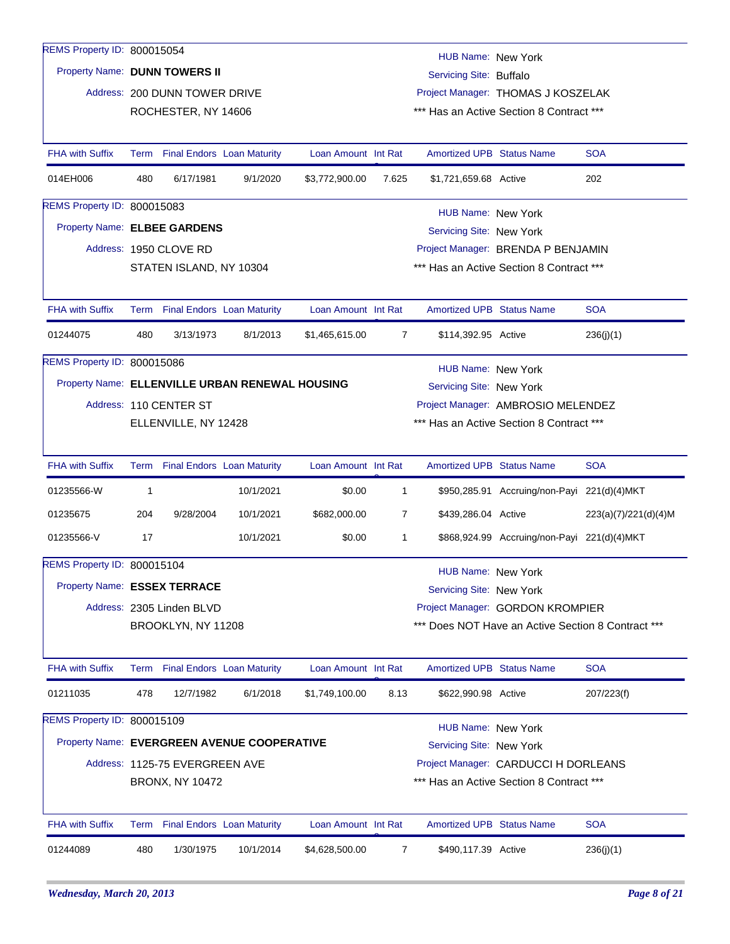| REMS Property ID: 800015054                 |              |                                |                                                 |                     |                | HUB Name: New York                 |                                                    |                      |  |
|---------------------------------------------|--------------|--------------------------------|-------------------------------------------------|---------------------|----------------|------------------------------------|----------------------------------------------------|----------------------|--|
| Property Name: DUNN TOWERS II               |              |                                |                                                 |                     |                | Servicing Site: Buffalo            |                                                    |                      |  |
|                                             |              | Address: 200 DUNN TOWER DRIVE  |                                                 |                     |                |                                    | Project Manager: THOMAS J KOSZELAK                 |                      |  |
|                                             |              | ROCHESTER, NY 14606            |                                                 |                     |                |                                    | *** Has an Active Section 8 Contract ***           |                      |  |
| <b>FHA with Suffix</b>                      |              |                                | Term Final Endors Loan Maturity                 | Loan Amount Int Rat |                | <b>Amortized UPB Status Name</b>   |                                                    | <b>SOA</b>           |  |
| 014EH006                                    | 480          | 6/17/1981                      | 9/1/2020                                        | \$3,772,900.00      | 7.625          | \$1,721,659.68 Active              |                                                    | 202                  |  |
| REMS Property ID: 800015083                 |              |                                |                                                 |                     |                | HUB Name: New York                 |                                                    |                      |  |
| Property Name: ELBEE GARDENS                |              |                                |                                                 |                     |                | Servicing Site: New York           |                                                    |                      |  |
|                                             |              | Address: 1950 CLOVE RD         |                                                 |                     |                | Project Manager: BRENDA P BENJAMIN |                                                    |                      |  |
|                                             |              | STATEN ISLAND, NY 10304        |                                                 |                     |                |                                    | *** Has an Active Section 8 Contract ***           |                      |  |
| <b>FHA with Suffix</b>                      |              |                                | Term Final Endors Loan Maturity                 | Loan Amount Int Rat |                | <b>Amortized UPB Status Name</b>   |                                                    | <b>SOA</b>           |  |
| 01244075                                    | 480          | 3/13/1973                      | 8/1/2013                                        | \$1,465,615.00      | $\overline{7}$ | \$114,392.95 Active                |                                                    | 236(j)(1)            |  |
| REMS Property ID: 800015086                 |              |                                |                                                 |                     |                | HUB Name: New York                 |                                                    |                      |  |
|                                             |              |                                | Property Name: ELLENVILLE URBAN RENEWAL HOUSING |                     |                | Servicing Site: New York           |                                                    |                      |  |
|                                             |              | Address: 110 CENTER ST         |                                                 |                     |                |                                    | Project Manager: AMBROSIO MELENDEZ                 |                      |  |
|                                             |              | ELLENVILLE, NY 12428           |                                                 |                     |                |                                    | *** Has an Active Section 8 Contract ***           |                      |  |
|                                             |              |                                |                                                 |                     |                |                                    |                                                    |                      |  |
| <b>FHA with Suffix</b>                      |              |                                | Term Final Endors Loan Maturity                 | Loan Amount Int Rat |                | <b>Amortized UPB Status Name</b>   |                                                    | <b>SOA</b>           |  |
| 01235566-W                                  | $\mathbf{1}$ |                                | 10/1/2021                                       | \$0.00              | $\mathbf{1}$   |                                    | \$950,285.91 Accruing/non-Payi 221(d)(4)MKT        |                      |  |
| 01235675                                    | 204          | 9/28/2004                      | 10/1/2021                                       | \$682,000.00        | 7              | \$439,286.04 Active                |                                                    | 223(a)(7)/221(d)(4)M |  |
| 01235566-V                                  | 17           |                                | 10/1/2021                                       | \$0.00              | $\mathbf{1}$   |                                    | \$868,924.99 Accruing/non-Payi 221(d)(4)MKT        |                      |  |
| REMS Property ID: 800015104                 |              |                                |                                                 |                     |                | HUB Name: New York                 |                                                    |                      |  |
| Property Name: ESSEX TERRACE                |              |                                |                                                 |                     |                | Servicing Site: New York           |                                                    |                      |  |
|                                             |              | Address: 2305 Linden BLVD      |                                                 |                     |                |                                    | Project Manager: GORDON KROMPIER                   |                      |  |
|                                             |              | BROOKLYN, NY 11208             |                                                 |                     |                |                                    | *** Does NOT Have an Active Section 8 Contract *** |                      |  |
| <b>FHA with Suffix</b>                      |              |                                | Term Final Endors Loan Maturity                 | Loan Amount Int Rat |                | Amortized UPB Status Name          |                                                    | <b>SOA</b>           |  |
| 01211035                                    | 478          | 12/7/1982                      | 6/1/2018                                        | \$1,749,100.00      | 8.13           | \$622,990.98 Active                |                                                    | 207/223(f)           |  |
| REMS Property ID: 800015109                 |              |                                |                                                 |                     |                | HUB Name: New York                 |                                                    |                      |  |
| Property Name: EVERGREEN AVENUE COOPERATIVE |              |                                |                                                 |                     |                | Servicing Site: New York           |                                                    |                      |  |
|                                             |              | Address: 1125-75 EVERGREEN AVE |                                                 |                     |                |                                    | Project Manager: CARDUCCI H DORLEANS               |                      |  |
|                                             |              | <b>BRONX, NY 10472</b>         |                                                 |                     |                |                                    | *** Has an Active Section 8 Contract ***           |                      |  |
| <b>FHA with Suffix</b>                      |              |                                | Term Final Endors Loan Maturity                 | Loan Amount Int Rat |                | Amortized UPB Status Name          |                                                    | <b>SOA</b>           |  |
| 01244089                                    | 480          | 1/30/1975                      | 10/1/2014                                       | \$4,628,500.00      | $\overline{7}$ | \$490,117.39 Active                |                                                    | 236(j)(1)            |  |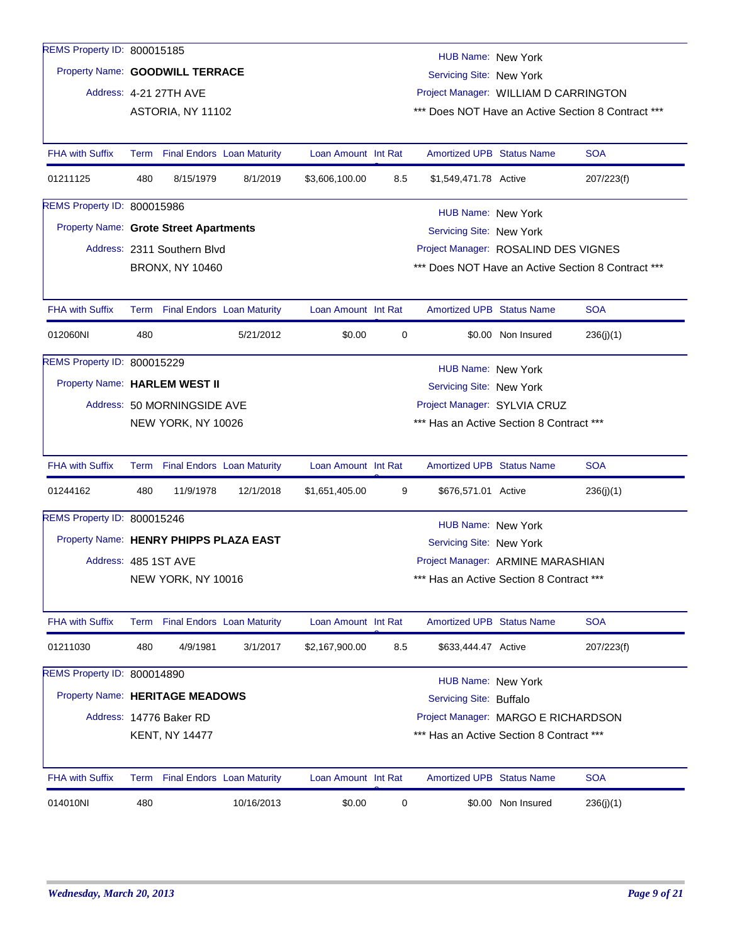| REMS Property ID: 800015185                   |     |                                 |            |                     |     | HUB Name: New York                       |                    |                                                    |
|-----------------------------------------------|-----|---------------------------------|------------|---------------------|-----|------------------------------------------|--------------------|----------------------------------------------------|
| Property Name: GOODWILL TERRACE               |     |                                 |            |                     |     | Servicing Site: New York                 |                    |                                                    |
|                                               |     | Address: 4-21 27TH AVE          |            |                     |     | Project Manager: WILLIAM D CARRINGTON    |                    |                                                    |
|                                               |     | ASTORIA, NY 11102               |            |                     |     |                                          |                    | *** Does NOT Have an Active Section 8 Contract *** |
|                                               |     |                                 |            |                     |     |                                          |                    |                                                    |
| <b>FHA with Suffix</b>                        |     | Term Final Endors Loan Maturity |            | Loan Amount Int Rat |     | <b>Amortized UPB Status Name</b>         |                    | <b>SOA</b>                                         |
| 01211125                                      | 480 | 8/15/1979                       | 8/1/2019   | \$3,606,100.00      | 8.5 | \$1,549,471.78 Active                    |                    | 207/223(f)                                         |
| REMS Property ID: 800015986                   |     |                                 |            |                     |     | HUB Name: New York                       |                    |                                                    |
| <b>Property Name: Grote Street Apartments</b> |     |                                 |            |                     |     | Servicing Site: New York                 |                    |                                                    |
|                                               |     | Address: 2311 Southern Blvd     |            |                     |     | Project Manager: ROSALIND DES VIGNES     |                    |                                                    |
|                                               |     | <b>BRONX, NY 10460</b>          |            |                     |     |                                          |                    | *** Does NOT Have an Active Section 8 Contract *** |
|                                               |     |                                 |            |                     |     |                                          |                    |                                                    |
| <b>FHA with Suffix</b>                        |     | Term Final Endors Loan Maturity |            | Loan Amount Int Rat |     | <b>Amortized UPB Status Name</b>         |                    | <b>SOA</b>                                         |
| 012060NI                                      | 480 |                                 | 5/21/2012  | \$0.00              | 0   |                                          | \$0.00 Non Insured | 236(j)(1)                                          |
| REMS Property ID: 800015229                   |     |                                 |            |                     |     | HUB Name: New York                       |                    |                                                    |
| Property Name: HARLEM WEST II                 |     |                                 |            |                     |     | Servicing Site: New York                 |                    |                                                    |
|                                               |     | Address: 50 MORNINGSIDE AVE     |            |                     |     | Project Manager: SYLVIA CRUZ             |                    |                                                    |
|                                               |     | NEW YORK, NY 10026              |            |                     |     | *** Has an Active Section 8 Contract *** |                    |                                                    |
|                                               |     |                                 |            |                     |     |                                          |                    |                                                    |
| <b>FHA with Suffix</b>                        |     | Term Final Endors Loan Maturity |            | Loan Amount Int Rat |     | <b>Amortized UPB Status Name</b>         |                    | <b>SOA</b>                                         |
| 01244162                                      | 480 | 11/9/1978                       | 12/1/2018  | \$1,651,405.00      | 9   | \$676,571.01 Active                      |                    | 236(j)(1)                                          |
| REMS Property ID: 800015246                   |     |                                 |            |                     |     | <b>HUB Name: New York</b>                |                    |                                                    |
| Property Name: HENRY PHIPPS PLAZA EAST        |     |                                 |            |                     |     | Servicing Site: New York                 |                    |                                                    |
| Address: 485 1ST AVE                          |     |                                 |            |                     |     | Project Manager: ARMINE MARASHIAN        |                    |                                                    |
|                                               |     | NEW YORK, NY 10016              |            |                     |     | *** Has an Active Section 8 Contract *** |                    |                                                    |
|                                               |     |                                 |            |                     |     |                                          |                    |                                                    |
| <b>FHA with Suffix</b>                        |     | Term Final Endors Loan Maturity |            | Loan Amount Int Rat |     | <b>Amortized UPB Status Name</b>         |                    | <b>SOA</b>                                         |
| 01211030                                      | 480 | 4/9/1981                        | 3/1/2017   | \$2,167,900.00      | 8.5 | \$633,444.47 Active                      |                    | 207/223(f)                                         |
| REMS Property ID: 800014890                   |     |                                 |            |                     |     | HUB Name: New York                       |                    |                                                    |
| Property Name: HERITAGE MEADOWS               |     |                                 |            |                     |     | Servicing Site: Buffalo                  |                    |                                                    |
|                                               |     | Address: 14776 Baker RD         |            |                     |     | Project Manager: MARGO E RICHARDSON      |                    |                                                    |
|                                               |     | <b>KENT, NY 14477</b>           |            |                     |     | *** Has an Active Section 8 Contract *** |                    |                                                    |
|                                               |     |                                 |            |                     |     |                                          |                    |                                                    |
| <b>FHA with Suffix</b>                        |     | Term Final Endors Loan Maturity |            | Loan Amount Int Rat |     | <b>Amortized UPB Status Name</b>         |                    | <b>SOA</b>                                         |
| 014010NI                                      | 480 |                                 | 10/16/2013 | \$0.00              | 0   |                                          | \$0.00 Non Insured | 236(j)(1)                                          |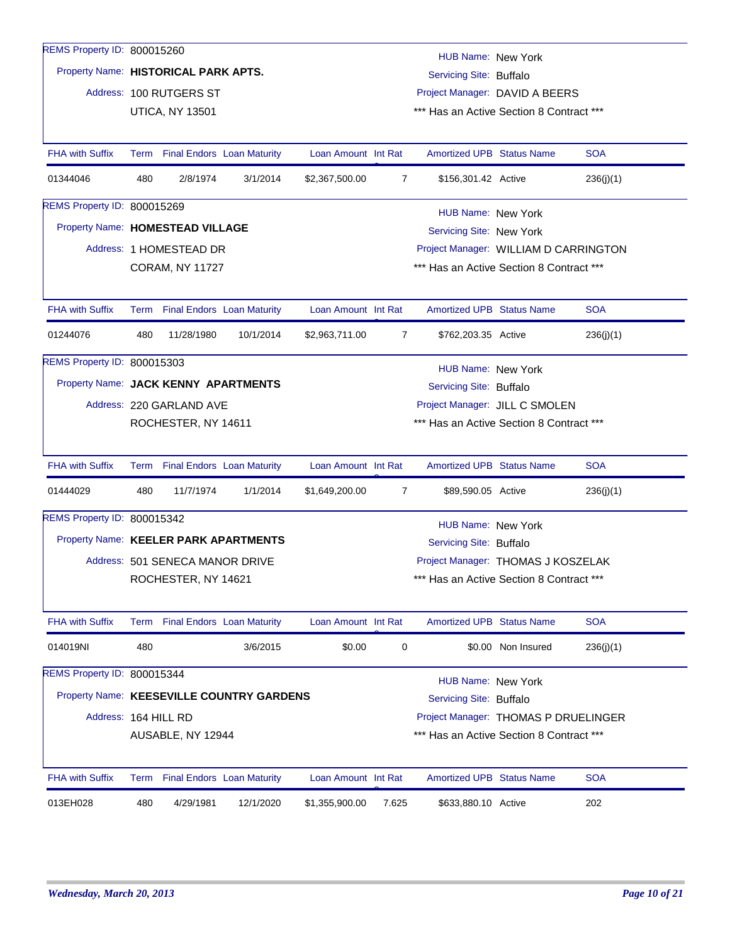| REMS Property ID: 800015260               |     |                                 |                                 |                     |                                       | <b>HUB Name: New York</b>                |                    |            |  |  |
|-------------------------------------------|-----|---------------------------------|---------------------------------|---------------------|---------------------------------------|------------------------------------------|--------------------|------------|--|--|
| Property Name: HISTORICAL PARK APTS.      |     |                                 |                                 |                     |                                       | Servicing Site: Buffalo                  |                    |            |  |  |
|                                           |     | Address: 100 RUTGERS ST         |                                 |                     |                                       | Project Manager: DAVID A BEERS           |                    |            |  |  |
|                                           |     | <b>UTICA, NY 13501</b>          |                                 |                     |                                       | *** Has an Active Section 8 Contract *** |                    |            |  |  |
|                                           |     |                                 |                                 |                     |                                       |                                          |                    |            |  |  |
| <b>FHA with Suffix</b>                    |     |                                 | Term Final Endors Loan Maturity | Loan Amount Int Rat |                                       | <b>Amortized UPB Status Name</b>         |                    | <b>SOA</b> |  |  |
| 01344046                                  | 480 | 2/8/1974                        | 3/1/2014                        | \$2,367,500.00      | 7                                     | \$156,301.42 Active                      |                    | 236(j)(1)  |  |  |
| REMS Property ID: 800015269               |     |                                 |                                 |                     |                                       | HUB Name: New York                       |                    |            |  |  |
| Property Name: HOMESTEAD VILLAGE          |     |                                 |                                 |                     |                                       | Servicing Site: New York                 |                    |            |  |  |
|                                           |     | Address: 1 HOMESTEAD DR         |                                 |                     | Project Manager: WILLIAM D CARRINGTON |                                          |                    |            |  |  |
|                                           |     | <b>CORAM, NY 11727</b>          |                                 |                     |                                       | *** Has an Active Section 8 Contract *** |                    |            |  |  |
|                                           |     |                                 |                                 |                     |                                       |                                          |                    |            |  |  |
| <b>FHA with Suffix</b>                    |     |                                 | Term Final Endors Loan Maturity | Loan Amount Int Rat |                                       | <b>Amortized UPB Status Name</b>         |                    | <b>SOA</b> |  |  |
| 01244076                                  | 480 | 11/28/1980                      | 10/1/2014                       | \$2,963,711.00      | 7                                     | \$762,203.35 Active                      |                    | 236(j)(1)  |  |  |
| REMS Property ID: 800015303               |     |                                 |                                 |                     |                                       | HUB Name: New York                       |                    |            |  |  |
| Property Name: JACK KENNY APARTMENTS      |     |                                 |                                 |                     |                                       | Servicing Site: Buffalo                  |                    |            |  |  |
|                                           |     | Address: 220 GARLAND AVE        |                                 |                     |                                       | Project Manager: JILL C SMOLEN           |                    |            |  |  |
|                                           |     | ROCHESTER, NY 14611             |                                 |                     |                                       | *** Has an Active Section 8 Contract *** |                    |            |  |  |
|                                           |     |                                 |                                 |                     |                                       |                                          |                    |            |  |  |
| <b>FHA with Suffix</b>                    |     |                                 | Term Final Endors Loan Maturity | Loan Amount Int Rat |                                       | <b>Amortized UPB Status Name</b>         |                    | <b>SOA</b> |  |  |
| 01444029                                  | 480 | 11/7/1974                       | 1/1/2014                        | \$1,649,200.00      | $\overline{7}$                        | \$89,590.05 Active                       |                    | 236(j)(1)  |  |  |
| REMS Property ID: 800015342               |     |                                 |                                 |                     |                                       | <b>HUB Name: New York</b>                |                    |            |  |  |
| Property Name: KEELER PARK APARTMENTS     |     |                                 |                                 |                     |                                       | Servicing Site: Buffalo                  |                    |            |  |  |
|                                           |     | Address: 501 SENECA MANOR DRIVE |                                 |                     |                                       | Project Manager: THOMAS J KOSZELAK       |                    |            |  |  |
|                                           |     | ROCHESTER, NY 14621             |                                 |                     |                                       | *** Has an Active Section 8 Contract *** |                    |            |  |  |
|                                           |     |                                 |                                 |                     |                                       |                                          |                    |            |  |  |
| <b>FHA with Suffix</b>                    |     |                                 | Term Final Endors Loan Maturity | Loan Amount Int Rat |                                       | <b>Amortized UPB Status Name</b>         |                    | <b>SOA</b> |  |  |
| 014019NI                                  | 480 |                                 | 3/6/2015                        | \$0.00              | 0                                     |                                          | \$0.00 Non Insured | 236(j)(1)  |  |  |
| REMS Property ID: 800015344               |     |                                 |                                 |                     |                                       | <b>HUB Name: New York</b>                |                    |            |  |  |
| Property Name: KEESEVILLE COUNTRY GARDENS |     |                                 |                                 |                     |                                       | Servicing Site: Buffalo                  |                    |            |  |  |
| Address: 164 HILL RD                      |     |                                 |                                 |                     |                                       | Project Manager: THOMAS P DRUELINGER     |                    |            |  |  |
|                                           |     | AUSABLE, NY 12944               |                                 |                     |                                       | *** Has an Active Section 8 Contract *** |                    |            |  |  |
|                                           |     |                                 |                                 |                     |                                       |                                          |                    |            |  |  |
| <b>FHA with Suffix</b>                    |     |                                 | Term Final Endors Loan Maturity | Loan Amount Int Rat |                                       | <b>Amortized UPB Status Name</b>         |                    | <b>SOA</b> |  |  |
| 013EH028                                  | 480 | 4/29/1981                       | 12/1/2020                       | \$1,355,900.00      | 7.625                                 | \$633,880.10 Active                      |                    | 202        |  |  |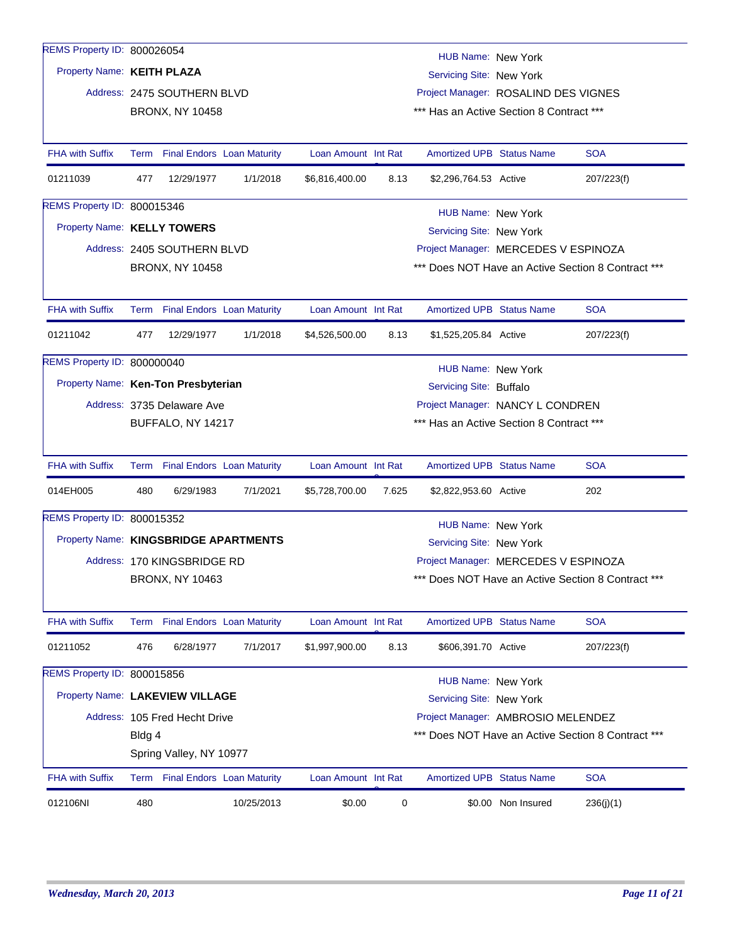| REMS Property ID: 800026054           |                                                                |                                   |            |                     |       |                                                       |                    |                                                    |
|---------------------------------------|----------------------------------------------------------------|-----------------------------------|------------|---------------------|-------|-------------------------------------------------------|--------------------|----------------------------------------------------|
| Property Name: KEITH PLAZA            |                                                                |                                   |            |                     |       | HUB Name: New York<br>Servicing Site: New York        |                    |                                                    |
|                                       |                                                                | Address: 2475 SOUTHERN BLVD       |            |                     |       | Project Manager: ROSALIND DES VIGNES                  |                    |                                                    |
|                                       |                                                                | <b>BRONX, NY 10458</b>            |            |                     |       | *** Has an Active Section 8 Contract ***              |                    |                                                    |
|                                       |                                                                |                                   |            |                     |       |                                                       |                    |                                                    |
| <b>FHA with Suffix</b>                | Term                                                           | <b>Final Endors</b> Loan Maturity |            | Loan Amount Int Rat |       | <b>Amortized UPB Status Name</b>                      |                    | <b>SOA</b>                                         |
| 01211039                              | 477                                                            | 12/29/1977                        | 1/1/2018   | \$6,816,400.00      | 8.13  | \$2,296,764.53 Active                                 |                    | 207/223(f)                                         |
| REMS Property ID: 800015346           |                                                                |                                   |            |                     |       | HUB Name: New York                                    |                    |                                                    |
| Property Name: KELLY TOWERS           |                                                                |                                   |            |                     |       | Servicing Site: New York                              |                    |                                                    |
|                                       |                                                                | Address: 2405 SOUTHERN BLVD       |            |                     |       | Project Manager: MERCEDES V ESPINOZA                  |                    |                                                    |
|                                       |                                                                | <b>BRONX, NY 10458</b>            |            |                     |       |                                                       |                    | *** Does NOT Have an Active Section 8 Contract *** |
|                                       |                                                                |                                   |            |                     |       |                                                       |                    |                                                    |
| <b>FHA with Suffix</b>                | Term                                                           | <b>Final Endors</b> Loan Maturity |            | Loan Amount Int Rat |       | <b>Amortized UPB Status Name</b>                      |                    | <b>SOA</b>                                         |
| 01211042                              | 477                                                            | 12/29/1977                        | 1/1/2018   | \$4,526,500.00      | 8.13  | \$1,525,205.84 Active                                 |                    | 207/223(f)                                         |
| REMS Property ID: 800000040           |                                                                |                                   |            |                     |       | HUB Name: New York                                    |                    |                                                    |
| Property Name: Ken-Ton Presbyterian   |                                                                |                                   |            |                     |       | Servicing Site: Buffalo                               |                    |                                                    |
|                                       | Project Manager: NANCY L CONDREN<br>Address: 3735 Delaware Ave |                                   |            |                     |       |                                                       |                    |                                                    |
|                                       |                                                                | BUFFALO, NY 14217                 |            |                     |       | *** Has an Active Section 8 Contract ***              |                    |                                                    |
| <b>FHA with Suffix</b>                |                                                                | Term Final Endors Loan Maturity   |            | Loan Amount Int Rat |       | <b>Amortized UPB Status Name</b>                      |                    | <b>SOA</b>                                         |
| 014EH005                              | 480                                                            | 6/29/1983                         | 7/1/2021   | \$5,728,700.00      | 7.625 | \$2,822,953.60 Active                                 |                    | 202                                                |
| REMS Property ID: 800015352           |                                                                |                                   |            |                     |       |                                                       |                    |                                                    |
| Property Name: KINGSBRIDGE APARTMENTS |                                                                |                                   |            |                     |       | <b>HUB Name: New York</b><br>Servicing Site: New York |                    |                                                    |
|                                       |                                                                | Address: 170 KINGSBRIDGE RD       |            |                     |       | Project Manager: MERCEDES V ESPINOZA                  |                    |                                                    |
|                                       |                                                                | <b>BRONX, NY 10463</b>            |            |                     |       |                                                       |                    | Does NOT Have an Active Section 8 Contract ***     |
|                                       |                                                                |                                   |            |                     |       |                                                       |                    |                                                    |
| <b>FHA with Suffix</b>                |                                                                | Term Final Endors Loan Maturity   |            | Loan Amount Int Rat |       | <b>Amortized UPB Status Name</b>                      |                    | <b>SOA</b>                                         |
| 01211052                              | 476                                                            | 6/28/1977                         | 7/1/2017   | \$1,997,900.00      | 8.13  | \$606,391.70 Active                                   |                    | 207/223(f)                                         |
| REMS Property ID: 800015856           |                                                                |                                   |            |                     |       | <b>HUB Name: New York</b>                             |                    |                                                    |
| Property Name: LAKEVIEW VILLAGE       |                                                                |                                   |            |                     |       | Servicing Site: New York                              |                    |                                                    |
|                                       |                                                                | Address: 105 Fred Hecht Drive     |            |                     |       | Project Manager: AMBROSIO MELENDEZ                    |                    |                                                    |
|                                       | Bldg 4                                                         |                                   |            |                     |       |                                                       |                    | *** Does NOT Have an Active Section 8 Contract *** |
|                                       |                                                                | Spring Valley, NY 10977           |            |                     |       |                                                       |                    |                                                    |
| <b>FHA with Suffix</b>                |                                                                | Term Final Endors Loan Maturity   |            | Loan Amount Int Rat |       | Amortized UPB Status Name                             |                    | <b>SOA</b>                                         |
| 012106NI                              | 480                                                            |                                   | 10/25/2013 | \$0.00              | 0     |                                                       | \$0.00 Non Insured | 236(j)(1)                                          |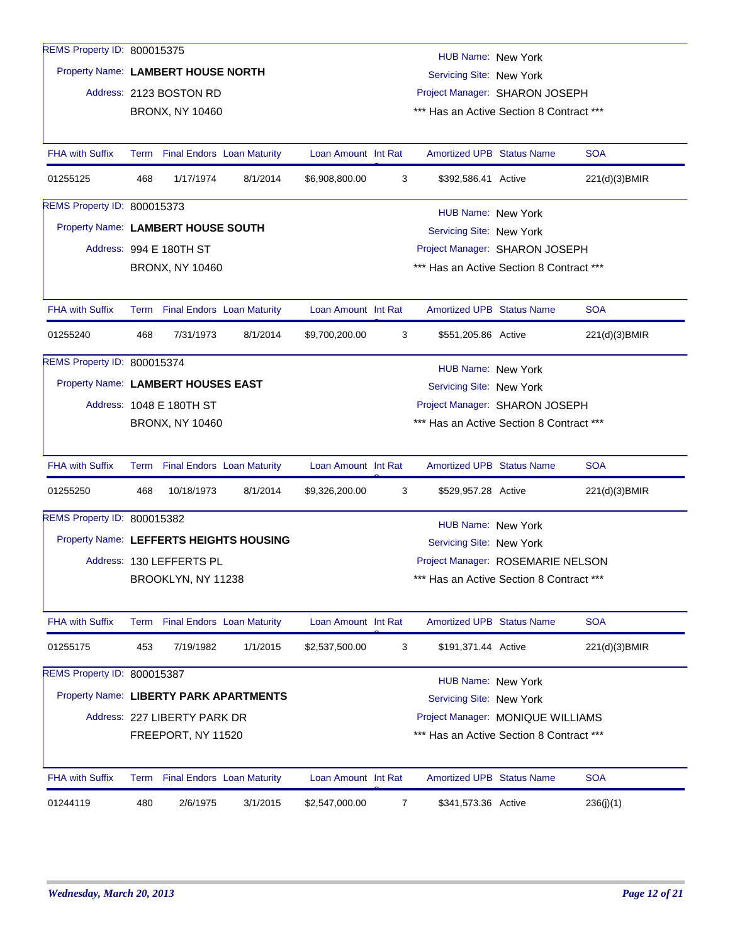| REMS Property ID: 800015375             |     |                                                                |          |                     |   |                                                                            |                          |               |  |  |
|-----------------------------------------|-----|----------------------------------------------------------------|----------|---------------------|---|----------------------------------------------------------------------------|--------------------------|---------------|--|--|
| Property Name: LAMBERT HOUSE NORTH      |     |                                                                |          |                     |   | <b>HUB Name: New York</b>                                                  |                          |               |  |  |
|                                         |     |                                                                |          |                     |   | Servicing Site: New York                                                   |                          |               |  |  |
|                                         |     | Address: 2123 BOSTON RD                                        |          |                     |   | Project Manager: SHARON JOSEPH<br>*** Has an Active Section 8 Contract *** |                          |               |  |  |
|                                         |     | <b>BRONX, NY 10460</b>                                         |          |                     |   |                                                                            |                          |               |  |  |
| <b>FHA with Suffix</b>                  |     | Term Final Endors Loan Maturity                                |          | Loan Amount Int Rat |   | <b>Amortized UPB Status Name</b>                                           |                          | <b>SOA</b>    |  |  |
| 01255125                                | 468 | 1/17/1974                                                      | 8/1/2014 | \$6,908,800.00      | 3 | \$392,586.41 Active                                                        |                          | 221(d)(3)BMIR |  |  |
| REMS Property ID: 800015373             |     |                                                                |          |                     |   | HUB Name: New York                                                         |                          |               |  |  |
| Property Name: LAMBERT HOUSE SOUTH      |     |                                                                |          |                     |   |                                                                            | Servicing Site: New York |               |  |  |
|                                         |     | Address: 994 E 180TH ST                                        |          |                     |   | Project Manager: SHARON JOSEPH                                             |                          |               |  |  |
|                                         |     | <b>BRONX, NY 10460</b>                                         |          |                     |   | *** Has an Active Section 8 Contract ***                                   |                          |               |  |  |
|                                         |     |                                                                |          |                     |   |                                                                            |                          |               |  |  |
| <b>FHA with Suffix</b>                  |     | Term Final Endors Loan Maturity                                |          | Loan Amount Int Rat |   | <b>Amortized UPB Status Name</b>                                           |                          | <b>SOA</b>    |  |  |
| 01255240                                | 468 | 7/31/1973                                                      | 8/1/2014 | \$9,700,200.00      | 3 | \$551,205.86 Active                                                        |                          | 221(d)(3)BMIR |  |  |
| REMS Property ID: 800015374             |     |                                                                |          |                     |   | HUB Name: New York                                                         |                          |               |  |  |
|                                         |     | Property Name: LAMBERT HOUSES EAST<br>Servicing Site: New York |          |                     |   |                                                                            |                          |               |  |  |
|                                         |     | Address: 1048 E 180TH ST                                       |          |                     |   | Project Manager: SHARON JOSEPH                                             |                          |               |  |  |
|                                         |     | <b>BRONX, NY 10460</b>                                         |          |                     |   | *** Has an Active Section 8 Contract ***                                   |                          |               |  |  |
| <b>FHA with Suffix</b>                  |     | Term Final Endors Loan Maturity                                |          | Loan Amount Int Rat |   | <b>Amortized UPB Status Name</b>                                           |                          | <b>SOA</b>    |  |  |
| 01255250                                | 468 | 10/18/1973                                                     | 8/1/2014 | \$9,326,200.00      |   | \$529,957.28 Active                                                        |                          |               |  |  |
|                                         |     |                                                                |          |                     | 3 |                                                                            |                          | 221(d)(3)BMIR |  |  |
| REMS Property ID: 800015382             |     |                                                                |          |                     |   | <b>HUB Name: New York</b>                                                  |                          |               |  |  |
| Property Name: LEFFERTS HEIGHTS HOUSING |     |                                                                |          |                     |   | Servicing Site: New York                                                   |                          |               |  |  |
|                                         |     | Address: 130 LEFFERTS PL                                       |          |                     |   | Project Manager: ROSEMARIE NELSON                                          |                          |               |  |  |
|                                         |     | BROOKLYN, NY 11238                                             |          |                     |   | *** Has an Active Section 8 Contract ***                                   |                          |               |  |  |
| <b>FHA with Suffix</b>                  |     | Term Final Endors Loan Maturity                                |          | Loan Amount Int Rat |   | <b>Amortized UPB Status Name</b>                                           |                          | <b>SOA</b>    |  |  |
| 01255175                                | 453 | 7/19/1982                                                      | 1/1/2015 | \$2,537,500.00      | 3 | \$191,371.44 Active                                                        |                          | 221(d)(3)BMIR |  |  |
| REMS Property ID: 800015387             |     |                                                                |          |                     |   | <b>HUB Name: New York</b>                                                  |                          |               |  |  |
| Property Name: LIBERTY PARK APARTMENTS  |     |                                                                |          |                     |   | Servicing Site: New York                                                   |                          |               |  |  |
|                                         |     | Address: 227 LIBERTY PARK DR                                   |          |                     |   | Project Manager: MONIQUE WILLIAMS                                          |                          |               |  |  |
|                                         |     | FREEPORT, NY 11520                                             |          |                     |   | *** Has an Active Section 8 Contract ***                                   |                          |               |  |  |
|                                         |     |                                                                |          |                     |   |                                                                            |                          |               |  |  |
| <b>FHA with Suffix</b>                  |     | Term Final Endors Loan Maturity                                |          | Loan Amount Int Rat |   | <b>Amortized UPB Status Name</b>                                           |                          | <b>SOA</b>    |  |  |
| 01244119                                | 480 | 2/6/1975                                                       | 3/1/2015 | \$2,547,000.00      | 7 | \$341,573.36 Active                                                        |                          | 236(j)(1)     |  |  |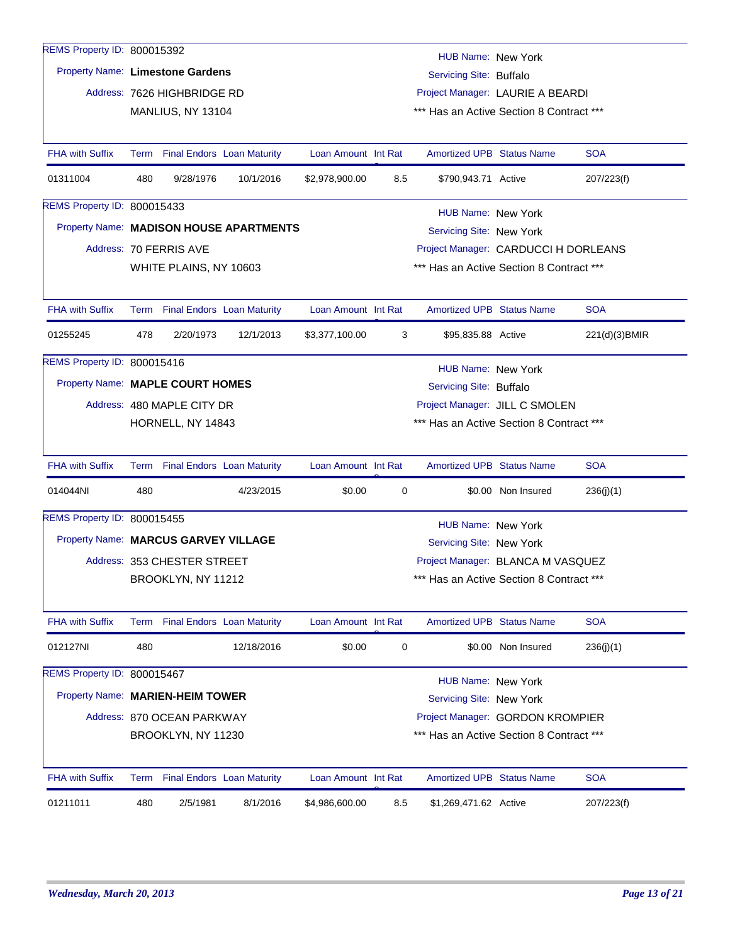| REMS Property ID: 800015392          |                                                                     |                             |                                   |                                |     | HUB Name: New York                       |                    |               |  |  |
|--------------------------------------|---------------------------------------------------------------------|-----------------------------|-----------------------------------|--------------------------------|-----|------------------------------------------|--------------------|---------------|--|--|
| Property Name: Limestone Gardens     |                                                                     |                             |                                   |                                |     | Servicing Site: Buffalo                  |                    |               |  |  |
|                                      |                                                                     | Address: 7626 HIGHBRIDGE RD |                                   |                                |     | Project Manager: LAURIE A BEARDI         |                    |               |  |  |
|                                      |                                                                     | MANLIUS, NY 13104           |                                   |                                |     | *** Has an Active Section 8 Contract *** |                    |               |  |  |
|                                      |                                                                     |                             |                                   |                                |     |                                          |                    |               |  |  |
| <b>FHA with Suffix</b>               |                                                                     |                             | Term Final Endors Loan Maturity   | Loan Amount Int Rat            |     | <b>Amortized UPB Status Name</b>         |                    | <b>SOA</b>    |  |  |
| 01311004                             | 480                                                                 | 9/28/1976                   | 10/1/2016                         | \$2,978,900.00                 | 8.5 | \$790,943.71 Active                      |                    | 207/223(f)    |  |  |
| REMS Property ID: 800015433          |                                                                     |                             |                                   |                                |     | HUB Name: New York                       |                    |               |  |  |
|                                      | Property Name: MADISON HOUSE APARTMENTS<br>Servicing Site: New York |                             |                                   |                                |     |                                          |                    |               |  |  |
|                                      |                                                                     | Address: 70 FERRIS AVE      |                                   |                                |     | Project Manager: CARDUCCI H DORLEANS     |                    |               |  |  |
|                                      | *** Has an Active Section 8 Contract ***<br>WHITE PLAINS, NY 10603  |                             |                                   |                                |     |                                          |                    |               |  |  |
|                                      |                                                                     |                             |                                   |                                |     |                                          |                    |               |  |  |
| <b>FHA with Suffix</b>               |                                                                     |                             | Term Final Endors Loan Maturity   | Loan Amount Int Rat            |     | <b>Amortized UPB Status Name</b>         |                    | <b>SOA</b>    |  |  |
| 01255245                             | 478                                                                 | 2/20/1973                   | 12/1/2013                         | \$3,377,100.00                 | 3   | \$95,835.88 Active                       |                    | 221(d)(3)BMIR |  |  |
| REMS Property ID: 800015416          |                                                                     |                             |                                   |                                |     | HUB Name: New York                       |                    |               |  |  |
| Property Name: MAPLE COURT HOMES     |                                                                     |                             |                                   |                                |     | Servicing Site: Buffalo                  |                    |               |  |  |
|                                      |                                                                     | Address: 480 MAPLE CITY DR  |                                   | Project Manager: JILL C SMOLEN |     |                                          |                    |               |  |  |
|                                      | HORNELL, NY 14843<br>*** Has an Active Section 8 Contract ***       |                             |                                   |                                |     |                                          |                    |               |  |  |
|                                      |                                                                     |                             |                                   |                                |     |                                          |                    |               |  |  |
| <b>FHA with Suffix</b>               |                                                                     |                             | Term Final Endors Loan Maturity   | Loan Amount Int Rat            |     | <b>Amortized UPB Status Name</b>         |                    | <b>SOA</b>    |  |  |
| 014044NI                             | 480                                                                 |                             | 4/23/2015                         | \$0.00                         | 0   |                                          | \$0.00 Non Insured | 236(j)(1)     |  |  |
| REMS Property ID: 800015455          |                                                                     |                             |                                   |                                |     | <b>HUB Name: New York</b>                |                    |               |  |  |
| Property Name: MARCUS GARVEY VILLAGE |                                                                     |                             |                                   |                                |     | Servicing Site: New York                 |                    |               |  |  |
|                                      |                                                                     | Address: 353 CHESTER STREET |                                   |                                |     | Project Manager: BLANCA M VASQUEZ        |                    |               |  |  |
|                                      |                                                                     | BROOKLYN, NY 11212          |                                   |                                |     | *** Has an Active Section 8 Contract *** |                    |               |  |  |
|                                      |                                                                     |                             |                                   |                                |     |                                          |                    |               |  |  |
| <b>FHA with Suffix</b>               |                                                                     |                             | Term Final Endors Loan Maturity   | Loan Amount Int Rat            |     | <b>Amortized UPB Status Name</b>         |                    | <b>SOA</b>    |  |  |
| 012127NI                             | 480                                                                 |                             | 12/18/2016                        | \$0.00                         | 0   |                                          | \$0.00 Non Insured | 236(j)(1)     |  |  |
| REMS Property ID: 800015467          |                                                                     |                             |                                   |                                |     | <b>HUB Name: New York</b>                |                    |               |  |  |
| Property Name: MARIEN-HEIM TOWER     |                                                                     |                             |                                   |                                |     | Servicing Site: New York                 |                    |               |  |  |
|                                      |                                                                     | Address: 870 OCEAN PARKWAY  |                                   |                                |     | Project Manager: GORDON KROMPIER         |                    |               |  |  |
|                                      |                                                                     | BROOKLYN, NY 11230          |                                   |                                |     | *** Has an Active Section 8 Contract *** |                    |               |  |  |
|                                      |                                                                     |                             |                                   |                                |     |                                          |                    |               |  |  |
| <b>FHA with Suffix</b>               | Term                                                                |                             | <b>Final Endors</b> Loan Maturity | Loan Amount Int Rat            |     | <b>Amortized UPB Status Name</b>         |                    | <b>SOA</b>    |  |  |
| 01211011                             | 480                                                                 | 2/5/1981                    | 8/1/2016                          | \$4,986,600.00                 | 8.5 | \$1,269,471.62 Active                    |                    | 207/223(f)    |  |  |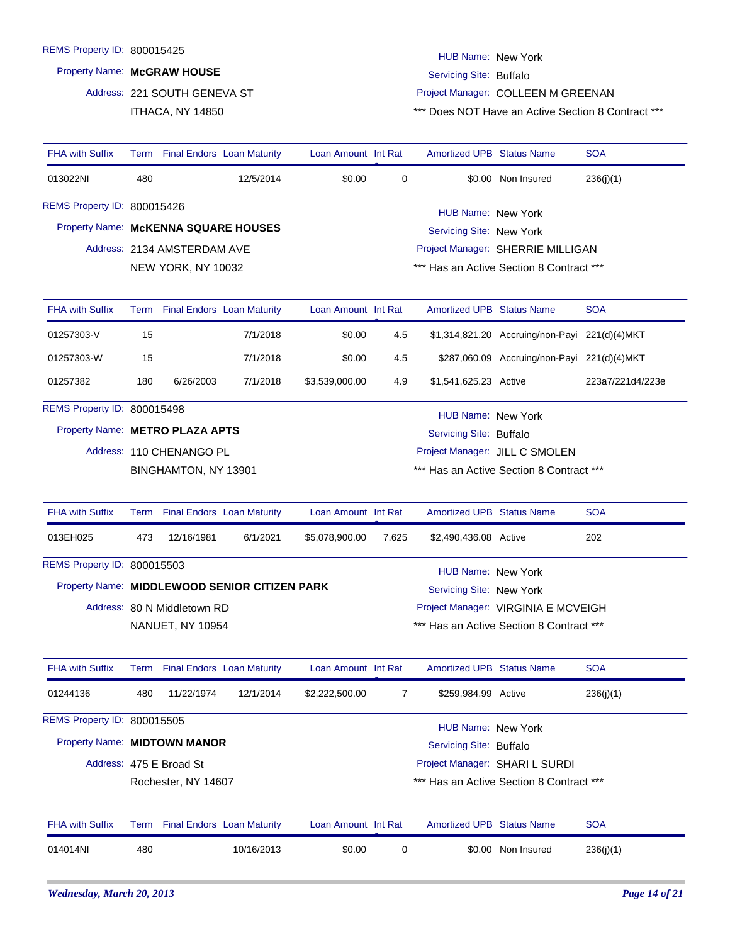## REMS Property ID: 800015425

## Property Name: **McGRAW HOUSE**

Address: 221 SOUTH GENEVA ST ITHACA, NY 14850

HUB Name: New York

Servicing Site: Buffalo

Project Manager: COLLEEN M GREENAN

\*\*\* Does NOT Have an Active Section 8 Contract \*\*\*

| <b>FHA with Suffix</b>                        |                                                                  |                             | Term Final Endors Loan Maturity | Loan Amount Int Rat            |       | <b>Amortized UPB Status Name</b> |                                               | <b>SOA</b>       |  |  |
|-----------------------------------------------|------------------------------------------------------------------|-----------------------------|---------------------------------|--------------------------------|-------|----------------------------------|-----------------------------------------------|------------------|--|--|
| 013022NI                                      | 480                                                              |                             | 12/5/2014                       | \$0.00                         | 0     |                                  | \$0.00 Non Insured                            | 236(j)(1)        |  |  |
| REMS Property ID: 800015426                   |                                                                  |                             |                                 |                                |       | HUB Name: New York               |                                               |                  |  |  |
| Property Name: McKENNA SQUARE HOUSES          |                                                                  |                             |                                 |                                |       | Servicing Site: New York         |                                               |                  |  |  |
|                                               |                                                                  | Address: 2134 AMSTERDAM AVE |                                 |                                |       |                                  | Project Manager: SHERRIE MILLIGAN             |                  |  |  |
|                                               | *** Has an Active Section 8 Contract ***<br>NEW YORK, NY 10032   |                             |                                 |                                |       |                                  |                                               |                  |  |  |
| <b>FHA with Suffix</b>                        |                                                                  |                             | Term Final Endors Loan Maturity | Loan Amount Int Rat            |       | <b>Amortized UPB Status Name</b> |                                               | <b>SOA</b>       |  |  |
| 01257303-V                                    | 15                                                               |                             | 7/1/2018                        | \$0.00                         | 4.5   |                                  | \$1,314,821.20 Accruing/non-Payi 221(d)(4)MKT |                  |  |  |
| 01257303-W                                    | 15                                                               |                             | 7/1/2018                        | \$0.00                         | 4.5   |                                  | \$287,060.09 Accruing/non-Payi 221(d)(4)MKT   |                  |  |  |
| 01257382                                      | 180                                                              | 6/26/2003                   | 7/1/2018                        | \$3,539,000.00                 | 4.9   | \$1,541,625.23 Active            |                                               | 223a7/221d4/223e |  |  |
| REMS Property ID: 800015498                   |                                                                  |                             |                                 |                                |       | <b>HUB Name: New York</b>        |                                               |                  |  |  |
| Property Name: METRO PLAZA APTS               |                                                                  |                             |                                 |                                |       | Servicing Site: Buffalo          |                                               |                  |  |  |
|                                               |                                                                  | Address: 110 CHENANGO PL    |                                 | Project Manager: JILL C SMOLEN |       |                                  |                                               |                  |  |  |
|                                               | *** Has an Active Section 8 Contract ***<br>BINGHAMTON, NY 13901 |                             |                                 |                                |       |                                  |                                               |                  |  |  |
| <b>FHA with Suffix</b>                        |                                                                  |                             | Term Final Endors Loan Maturity | Loan Amount Int Rat            |       | <b>Amortized UPB Status Name</b> |                                               | <b>SOA</b>       |  |  |
| 013EH025                                      | 473                                                              | 12/16/1981                  | 6/1/2021                        | \$5,078,900.00                 | 7.625 | \$2,490,436.08 Active            |                                               | 202              |  |  |
| <b>REMS Property ID: 800015503</b>            |                                                                  |                             |                                 |                                |       | HUB Name: New York               |                                               |                  |  |  |
| Property Name: MIDDLEWOOD SENIOR CITIZEN PARK |                                                                  |                             |                                 |                                |       | Servicing Site: New York         |                                               |                  |  |  |
|                                               |                                                                  | Address: 80 N Middletown RD |                                 |                                |       |                                  | Project Manager: VIRGINIA E MCVEIGH           |                  |  |  |
|                                               |                                                                  | NANUET, NY 10954            |                                 |                                |       |                                  | *** Has an Active Section 8 Contract ***      |                  |  |  |
| <b>FHA with Suffix</b>                        |                                                                  |                             | Term Final Endors Loan Maturity | Loan Amount Int Rat            |       | <b>Amortized UPB Status Name</b> |                                               | <b>SOA</b>       |  |  |
| 01244136                                      | 480                                                              | 11/22/1974                  | 12/1/2014                       | \$2,222,500.00                 | 7     | \$259,984.99 Active              |                                               | 236(j)(1)        |  |  |
| REMS Property ID: 800015505                   |                                                                  |                             |                                 |                                |       | <b>HUB Name: New York</b>        |                                               |                  |  |  |
| Property Name: MIDTOWN MANOR                  |                                                                  |                             |                                 |                                |       | Servicing Site: Buffalo          |                                               |                  |  |  |
|                                               |                                                                  | Address: 475 E Broad St     |                                 |                                |       |                                  | Project Manager: SHARI L SURDI                |                  |  |  |
|                                               |                                                                  | Rochester, NY 14607         |                                 |                                |       |                                  | *** Has an Active Section 8 Contract ***      |                  |  |  |
| <b>FHA with Suffix</b>                        |                                                                  |                             | Term Final Endors Loan Maturity | Loan Amount Int Rat            |       | <b>Amortized UPB Status Name</b> |                                               | <b>SOA</b>       |  |  |
| 014014NI                                      | 480                                                              |                             | 10/16/2013                      | \$0.00                         | 0     |                                  | \$0.00 Non Insured                            | 236(j)(1)        |  |  |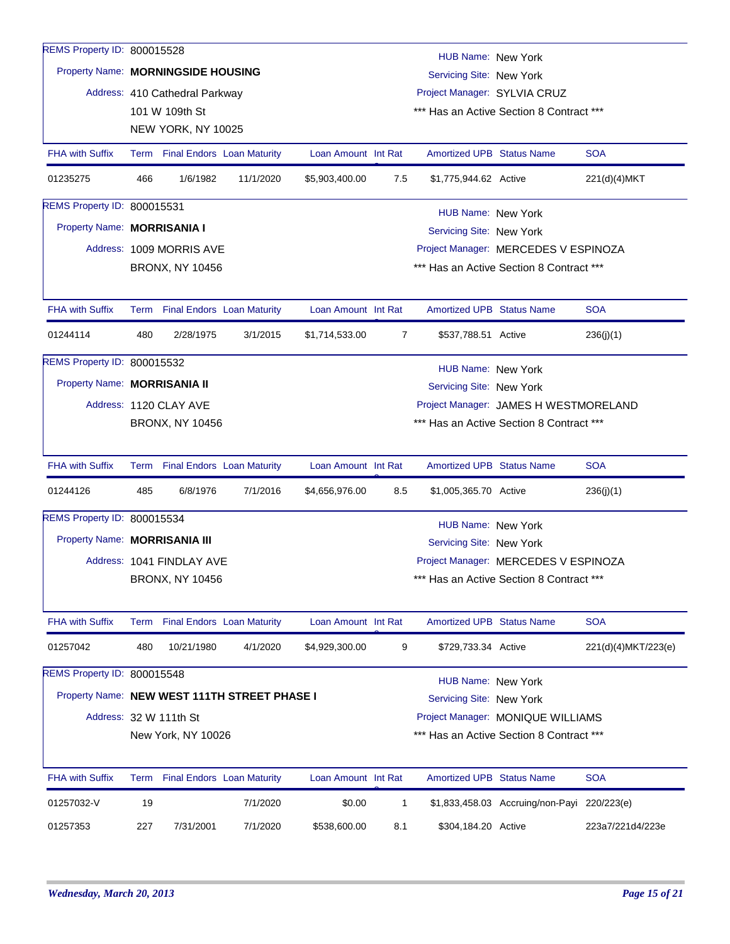| REMS Property ID: 800015528                  |                    |                                                                |           |                     |     | HUB Name: New York               |                                             |                     |  |  |  |
|----------------------------------------------|--------------------|----------------------------------------------------------------|-----------|---------------------|-----|----------------------------------|---------------------------------------------|---------------------|--|--|--|
|                                              |                    | Property Name: MORNINGSIDE HOUSING<br>Servicing Site: New York |           |                     |     |                                  |                                             |                     |  |  |  |
|                                              |                    | Address: 410 Cathedral Parkway                                 |           |                     |     | Project Manager: SYLVIA CRUZ     |                                             |                     |  |  |  |
|                                              |                    | 101 W 109th St                                                 |           |                     |     |                                  | *** Has an Active Section 8 Contract ***    |                     |  |  |  |
|                                              |                    | NEW YORK, NY 10025                                             |           |                     |     |                                  |                                             |                     |  |  |  |
| <b>FHA with Suffix</b>                       |                    | Term Final Endors Loan Maturity                                |           | Loan Amount Int Rat |     | <b>Amortized UPB Status Name</b> |                                             | <b>SOA</b>          |  |  |  |
| 01235275                                     | 466                | 1/6/1982                                                       | 11/1/2020 | \$5,903,400.00      | 7.5 | \$1,775,944.62 Active            |                                             | 221(d)(4)MKT        |  |  |  |
| REMS Property ID: 800015531                  | HUB Name: New York |                                                                |           |                     |     |                                  |                                             |                     |  |  |  |
| Property Name: MORRISANIA I                  |                    |                                                                |           |                     |     | Servicing Site: New York         |                                             |                     |  |  |  |
|                                              |                    | Address: 1009 MORRIS AVE                                       |           |                     |     |                                  | Project Manager: MERCEDES V ESPINOZA        |                     |  |  |  |
|                                              |                    | <b>BRONX, NY 10456</b>                                         |           |                     |     |                                  | *** Has an Active Section 8 Contract ***    |                     |  |  |  |
| <b>FHA with Suffix</b>                       |                    | Term Final Endors Loan Maturity                                |           | Loan Amount Int Rat |     | <b>Amortized UPB Status Name</b> |                                             | <b>SOA</b>          |  |  |  |
| 01244114                                     | 480                | 2/28/1975                                                      | 3/1/2015  | \$1,714,533.00      | 7   | \$537,788.51 Active              |                                             | 236(j)(1)           |  |  |  |
| REMS Property ID: 800015532                  |                    |                                                                |           |                     |     | HUB Name: New York               |                                             |                     |  |  |  |
| Property Name: MORRISANIA II                 |                    |                                                                |           |                     |     | Servicing Site: New York         |                                             |                     |  |  |  |
|                                              |                    | Address: 1120 CLAY AVE                                         |           |                     |     |                                  | Project Manager: JAMES H WESTMORELAND       |                     |  |  |  |
|                                              |                    | <b>BRONX, NY 10456</b>                                         |           |                     |     |                                  | *** Has an Active Section 8 Contract ***    |                     |  |  |  |
| <b>FHA with Suffix</b>                       |                    | Term Final Endors Loan Maturity                                |           | Loan Amount Int Rat |     | <b>Amortized UPB Status Name</b> |                                             | <b>SOA</b>          |  |  |  |
| 01244126                                     | 485                | 6/8/1976                                                       | 7/1/2016  | \$4,656,976.00      | 8.5 | \$1,005,365.70 Active            |                                             | 236(j)(1)           |  |  |  |
| REMS Property ID: 800015534                  |                    |                                                                |           |                     |     | <b>HUB Name: New York</b>        |                                             |                     |  |  |  |
| Property Name: MORRISANIA III                |                    |                                                                |           |                     |     | Servicing Site: New York         |                                             |                     |  |  |  |
|                                              |                    | Address: 1041 FINDLAY AVE                                      |           |                     |     |                                  | Project Manager: MERCEDES V ESPINOZA        |                     |  |  |  |
|                                              |                    | BRONX, NY 10456                                                |           |                     |     |                                  | Has an Active Section 8 Contract ***        |                     |  |  |  |
| <b>FHA with Suffix</b>                       |                    | Term Final Endors Loan Maturity                                |           | Loan Amount Int Rat |     | <b>Amortized UPB Status Name</b> |                                             | <b>SOA</b>          |  |  |  |
| 01257042                                     | 480                | 10/21/1980                                                     | 4/1/2020  | \$4,929,300.00      | 9   | \$729,733.34 Active              |                                             | 221(d)(4)MKT/223(e) |  |  |  |
| REMS Property ID: 800015548                  |                    |                                                                |           |                     |     | <b>HUB Name: New York</b>        |                                             |                     |  |  |  |
| Property Name: NEW WEST 111TH STREET PHASE I |                    |                                                                |           |                     |     | Servicing Site: New York         |                                             |                     |  |  |  |
|                                              |                    | Address: 32 W 111th St                                         |           |                     |     |                                  | Project Manager: MONIQUE WILLIAMS           |                     |  |  |  |
|                                              |                    | New York, NY 10026                                             |           |                     |     |                                  | *** Has an Active Section 8 Contract ***    |                     |  |  |  |
| <b>FHA with Suffix</b>                       |                    | Term Final Endors Loan Maturity                                |           | Loan Amount Int Rat |     | <b>Amortized UPB Status Name</b> |                                             | <b>SOA</b>          |  |  |  |
| 01257032-V                                   | 19                 |                                                                | 7/1/2020  | \$0.00              | 1   |                                  | \$1,833,458.03 Accruing/non-Payi 220/223(e) |                     |  |  |  |
| 01257353                                     | 227                | 7/31/2001                                                      | 7/1/2020  | \$538,600.00        | 8.1 | \$304,184.20 Active              |                                             | 223a7/221d4/223e    |  |  |  |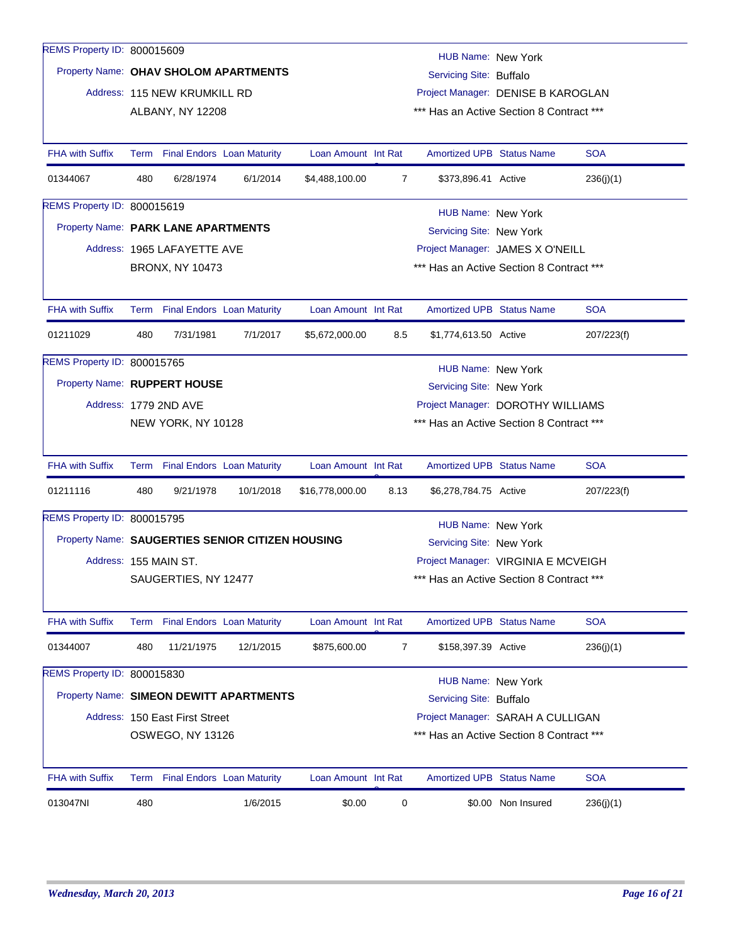| REMS Property ID: 800015609  |                                                                 |                                 |                                                  |                     |             | HUB Name: New York                       |                    |            |  |  |
|------------------------------|-----------------------------------------------------------------|---------------------------------|--------------------------------------------------|---------------------|-------------|------------------------------------------|--------------------|------------|--|--|
|                              |                                                                 |                                 | Property Name: OHAV SHOLOM APARTMENTS            |                     |             | Servicing Site: Buffalo                  |                    |            |  |  |
|                              |                                                                 | Address: 115 NEW KRUMKILL RD    |                                                  |                     |             | Project Manager: DENISE B KAROGLAN       |                    |            |  |  |
|                              |                                                                 | ALBANY, NY 12208                |                                                  |                     |             | *** Has an Active Section 8 Contract *** |                    |            |  |  |
|                              |                                                                 |                                 |                                                  |                     |             |                                          |                    |            |  |  |
| <b>FHA with Suffix</b>       |                                                                 | Term Final Endors Loan Maturity |                                                  | Loan Amount Int Rat |             | <b>Amortized UPB Status Name</b>         |                    | <b>SOA</b> |  |  |
| 01344067                     | 480                                                             | 6/28/1974                       | 6/1/2014                                         | \$4,488,100.00      | 7           | \$373,896.41 Active                      |                    | 236(j)(1)  |  |  |
| REMS Property ID: 800015619  |                                                                 |                                 |                                                  |                     |             | HUB Name: New York                       |                    |            |  |  |
|                              | Property Name: PARK LANE APARTMENTS<br>Servicing Site: New York |                                 |                                                  |                     |             |                                          |                    |            |  |  |
|                              |                                                                 | Address: 1965 LAFAYETTE AVE     |                                                  |                     |             | Project Manager: JAMES X O'NEILL         |                    |            |  |  |
|                              |                                                                 | <b>BRONX, NY 10473</b>          |                                                  |                     |             | *** Has an Active Section 8 Contract *** |                    |            |  |  |
|                              |                                                                 |                                 |                                                  |                     |             |                                          |                    |            |  |  |
| <b>FHA with Suffix</b>       |                                                                 | Term Final Endors Loan Maturity |                                                  | Loan Amount Int Rat |             | <b>Amortized UPB Status Name</b>         |                    | <b>SOA</b> |  |  |
| 01211029                     | 480                                                             | 7/31/1981                       | 7/1/2017                                         | \$5,672,000.00      | 8.5         | \$1,774,613.50 Active                    |                    | 207/223(f) |  |  |
| REMS Property ID: 800015765  |                                                                 |                                 |                                                  |                     |             | HUB Name: New York                       |                    |            |  |  |
| Property Name: RUPPERT HOUSE |                                                                 |                                 |                                                  |                     |             | Servicing Site: New York                 |                    |            |  |  |
|                              |                                                                 | Address: 1779 2ND AVE           |                                                  |                     |             | Project Manager: DOROTHY WILLIAMS        |                    |            |  |  |
|                              |                                                                 | NEW YORK, NY 10128              |                                                  |                     |             | *** Has an Active Section 8 Contract *** |                    |            |  |  |
| <b>FHA with Suffix</b>       |                                                                 | Term Final Endors Loan Maturity |                                                  | Loan Amount Int Rat |             | <b>Amortized UPB Status Name</b>         |                    | <b>SOA</b> |  |  |
| 01211116                     | 480                                                             | 9/21/1978                       | 10/1/2018                                        | \$16,778,000.00     | 8.13        | \$6,278,784.75 Active                    |                    | 207/223(f) |  |  |
| REMS Property ID: 800015795  |                                                                 |                                 |                                                  |                     |             | <b>HUB Name: New York</b>                |                    |            |  |  |
|                              |                                                                 |                                 | Property Name: SAUGERTIES SENIOR CITIZEN HOUSING |                     |             | Servicing Site: New York                 |                    |            |  |  |
|                              |                                                                 | Address: 155 MAIN ST.           |                                                  |                     |             | Project Manager: VIRGINIA E MCVEIGH      |                    |            |  |  |
|                              |                                                                 | SAUGERTIES, NY 12477            |                                                  |                     |             | *** Has an Active Section 8 Contract *** |                    |            |  |  |
|                              |                                                                 |                                 |                                                  |                     |             |                                          |                    |            |  |  |
| <b>FHA with Suffix</b>       | Term                                                            |                                 | <b>Final Endors Loan Maturity</b>                | Loan Amount Int Rat |             | <b>Amortized UPB Status Name</b>         |                    | <b>SOA</b> |  |  |
| 01344007                     | 480                                                             | 11/21/1975                      | 12/1/2015                                        | \$875,600.00        | 7           | \$158,397.39 Active                      |                    | 236(j)(1)  |  |  |
| REMS Property ID: 800015830  |                                                                 |                                 |                                                  |                     |             | <b>HUB Name: New York</b>                |                    |            |  |  |
|                              |                                                                 |                                 | Property Name: SIMEON DEWITT APARTMENTS          |                     |             | Servicing Site: Buffalo                  |                    |            |  |  |
|                              |                                                                 | Address: 150 East First Street  |                                                  |                     |             | Project Manager: SARAH A CULLIGAN        |                    |            |  |  |
|                              |                                                                 | OSWEGO, NY 13126                |                                                  |                     |             | *** Has an Active Section 8 Contract *** |                    |            |  |  |
| <b>FHA with Suffix</b>       |                                                                 | Term Final Endors Loan Maturity |                                                  | Loan Amount Int Rat |             | <b>Amortized UPB Status Name</b>         |                    | <b>SOA</b> |  |  |
|                              |                                                                 |                                 |                                                  |                     |             |                                          |                    |            |  |  |
| 013047NI                     | 480                                                             |                                 | 1/6/2015                                         | \$0.00              | $\mathbf 0$ |                                          | \$0.00 Non Insured | 236(j)(1)  |  |  |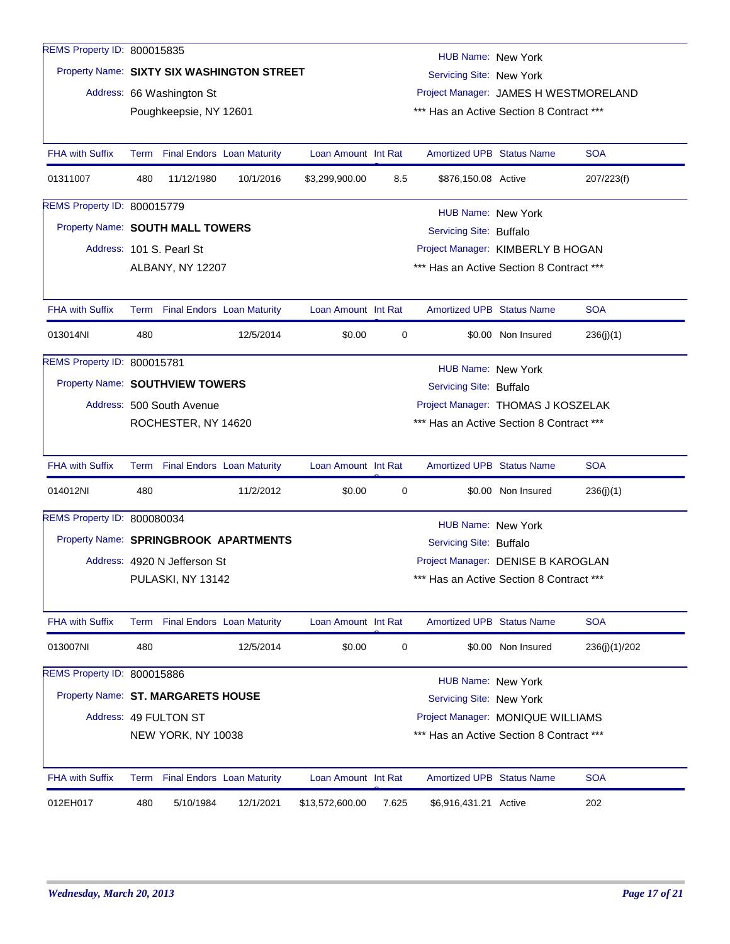| REMS Property ID: 800015835        |                                                                                                                              |                              |                                       |                     |       | HUB Name: New York                       |                    |               |  |
|------------------------------------|------------------------------------------------------------------------------------------------------------------------------|------------------------------|---------------------------------------|---------------------|-------|------------------------------------------|--------------------|---------------|--|
|                                    | Property Name: SIXTY SIX WASHINGTON STREET<br>Servicing Site: New York                                                       |                              |                                       |                     |       |                                          |                    |               |  |
|                                    |                                                                                                                              | Address: 66 Washington St    |                                       |                     |       | Project Manager: JAMES H WESTMORELAND    |                    |               |  |
|                                    |                                                                                                                              | Poughkeepsie, NY 12601       |                                       |                     |       | *** Has an Active Section 8 Contract *** |                    |               |  |
|                                    |                                                                                                                              |                              |                                       |                     |       |                                          |                    |               |  |
| <b>FHA with Suffix</b>             |                                                                                                                              |                              | Term Final Endors Loan Maturity       | Loan Amount Int Rat |       | <b>Amortized UPB Status Name</b>         |                    | <b>SOA</b>    |  |
| 01311007                           | 480                                                                                                                          | 11/12/1980                   | 10/1/2016                             | \$3,299,900.00      | 8.5   | \$876,150.08 Active                      |                    | 207/223(f)    |  |
| REMS Property ID: 800015779        |                                                                                                                              |                              |                                       |                     |       | HUB Name: New York                       |                    |               |  |
| Property Name: SOUTH MALL TOWERS   |                                                                                                                              |                              | Servicing Site: Buffalo               |                     |       |                                          |                    |               |  |
|                                    |                                                                                                                              | Address: 101 S. Pearl St     |                                       |                     |       | Project Manager: KIMBERLY B HOGAN        |                    |               |  |
|                                    |                                                                                                                              | ALBANY, NY 12207             |                                       |                     |       | *** Has an Active Section 8 Contract *** |                    |               |  |
|                                    |                                                                                                                              |                              |                                       |                     |       |                                          |                    |               |  |
| <b>FHA with Suffix</b>             |                                                                                                                              |                              | Term Final Endors Loan Maturity       | Loan Amount Int Rat |       | <b>Amortized UPB Status Name</b>         |                    | <b>SOA</b>    |  |
| 013014NI                           | 480                                                                                                                          |                              | 12/5/2014                             | \$0.00              | 0     |                                          | \$0.00 Non Insured | 236(j)(1)     |  |
| REMS Property ID: 800015781        |                                                                                                                              |                              |                                       |                     |       | HUB Name: New York                       |                    |               |  |
| Property Name: SOUTHVIEW TOWERS    |                                                                                                                              |                              |                                       |                     |       | Servicing Site: Buffalo                  |                    |               |  |
|                                    |                                                                                                                              | Address: 500 South Avenue    |                                       |                     |       | Project Manager: THOMAS J KOSZELAK       |                    |               |  |
|                                    |                                                                                                                              | ROCHESTER, NY 14620          |                                       |                     |       | *** Has an Active Section 8 Contract *** |                    |               |  |
|                                    |                                                                                                                              |                              |                                       |                     |       |                                          |                    |               |  |
| <b>FHA with Suffix</b>             |                                                                                                                              |                              | Term Final Endors Loan Maturity       | Loan Amount Int Rat |       | <b>Amortized UPB Status Name</b>         |                    | <b>SOA</b>    |  |
| 014012NI                           | 480                                                                                                                          |                              | 11/2/2012                             | \$0.00              | 0     |                                          | \$0.00 Non Insured | 236(j)(1)     |  |
| REMS Property ID: 800080034        |                                                                                                                              |                              |                                       |                     |       | <b>HUB Name: New York</b>                |                    |               |  |
|                                    |                                                                                                                              |                              | Property Name: SPRINGBROOK APARTMENTS |                     |       | Servicing Site: Buffalo                  |                    |               |  |
|                                    |                                                                                                                              | Address: 4920 N Jefferson St |                                       |                     |       | Project Manager: DENISE B KAROGLAN       |                    |               |  |
|                                    |                                                                                                                              | PULASKI, NY 13142            |                                       |                     |       | *** Has an Active Section 8 Contract *** |                    |               |  |
|                                    |                                                                                                                              |                              |                                       |                     |       |                                          |                    |               |  |
| <b>FHA with Suffix</b>             |                                                                                                                              |                              | Term Final Endors Loan Maturity       | Loan Amount Int Rat |       | <b>Amortized UPB Status Name</b>         |                    | <b>SOA</b>    |  |
| 013007NI                           | 480                                                                                                                          |                              | 12/5/2014                             | \$0.00              | 0     |                                          | \$0.00 Non Insured | 236(j)(1)/202 |  |
| REMS Property ID: 800015886        |                                                                                                                              |                              |                                       |                     |       | <b>HUB Name: New York</b>                |                    |               |  |
| Property Name: ST. MARGARETS HOUSE |                                                                                                                              |                              |                                       |                     |       | Servicing Site: New York                 |                    |               |  |
|                                    |                                                                                                                              |                              |                                       |                     |       |                                          |                    |               |  |
|                                    | Address: 49 FULTON ST<br>Project Manager: MONIQUE WILLIAMS<br>*** Has an Active Section 8 Contract ***<br>NEW YORK, NY 10038 |                              |                                       |                     |       |                                          |                    |               |  |
|                                    |                                                                                                                              |                              |                                       |                     |       |                                          |                    |               |  |
| <b>FHA with Suffix</b>             |                                                                                                                              |                              | Term Final Endors Loan Maturity       | Loan Amount Int Rat |       | <b>Amortized UPB Status Name</b>         |                    | <b>SOA</b>    |  |
| 012EH017                           | 480                                                                                                                          | 5/10/1984                    | 12/1/2021                             | \$13,572,600.00     | 7.625 | \$6,916,431.21 Active                    |                    | 202           |  |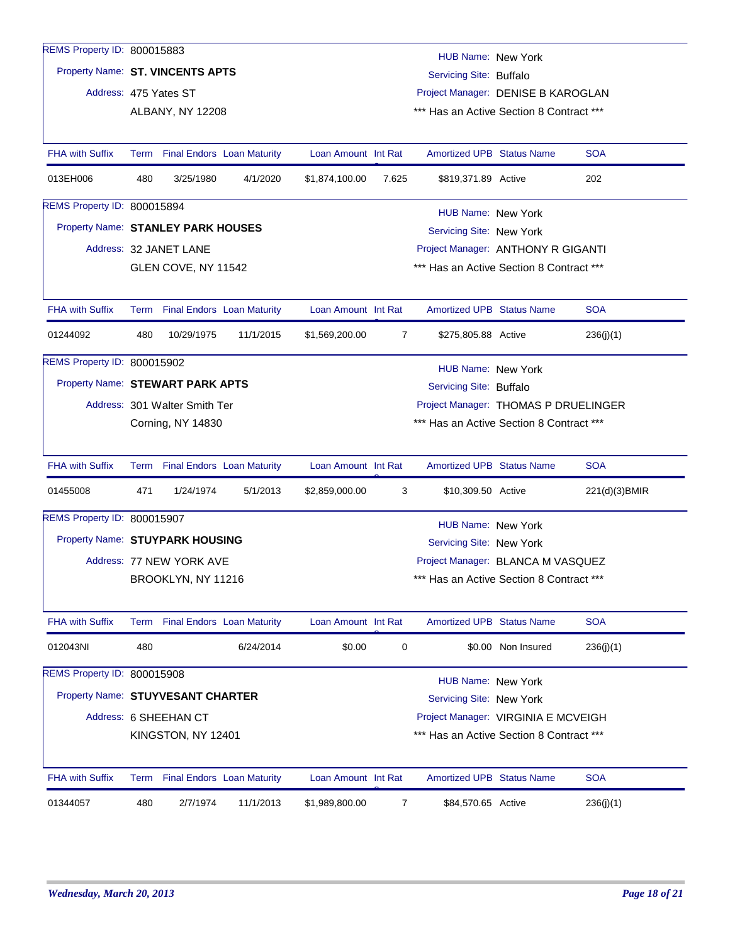| REMS Property ID: 800015883       |                                                                       |                                 |           |                     |                | <b>HUB Name: New York</b>                |                    |               |  |
|-----------------------------------|-----------------------------------------------------------------------|---------------------------------|-----------|---------------------|----------------|------------------------------------------|--------------------|---------------|--|
| Property Name: ST. VINCENTS APTS  |                                                                       |                                 |           |                     |                | Servicing Site: Buffalo                  |                    |               |  |
| Address: 475 Yates ST             |                                                                       |                                 |           |                     |                | Project Manager: DENISE B KAROGLAN       |                    |               |  |
|                                   |                                                                       | ALBANY, NY 12208                |           |                     |                | *** Has an Active Section 8 Contract *** |                    |               |  |
|                                   |                                                                       |                                 |           |                     |                |                                          |                    |               |  |
| <b>FHA with Suffix</b>            |                                                                       | Term Final Endors Loan Maturity |           | Loan Amount Int Rat |                | <b>Amortized UPB Status Name</b>         |                    | <b>SOA</b>    |  |
| 013EH006                          | 480                                                                   | 3/25/1980                       | 4/1/2020  | \$1,874,100.00      | 7.625          | \$819,371.89 Active                      |                    | 202           |  |
| REMS Property ID: 800015894       |                                                                       |                                 |           |                     |                | HUB Name: New York                       |                    |               |  |
|                                   | Property Name: STANLEY PARK HOUSES<br>Servicing Site: New York        |                                 |           |                     |                |                                          |                    |               |  |
|                                   |                                                                       | Address: 32 JANET LANE          |           |                     |                | Project Manager: ANTHONY R GIGANTI       |                    |               |  |
|                                   |                                                                       | GLEN COVE, NY 11542             |           |                     |                | *** Has an Active Section 8 Contract *** |                    |               |  |
|                                   |                                                                       |                                 |           |                     |                |                                          |                    |               |  |
| <b>FHA with Suffix</b>            |                                                                       | Term Final Endors Loan Maturity |           | Loan Amount Int Rat |                | <b>Amortized UPB Status Name</b>         |                    | <b>SOA</b>    |  |
| 01244092                          | 480                                                                   | 10/29/1975                      | 11/1/2015 | \$1,569,200.00      | $\overline{7}$ | \$275,805.88 Active                      |                    | 236(j)(1)     |  |
| REMS Property ID: 800015902       |                                                                       |                                 |           |                     |                | HUB Name: New York                       |                    |               |  |
|                                   | Property Name: STEWART PARK APTS<br>Servicing Site: Buffalo           |                                 |           |                     |                |                                          |                    |               |  |
|                                   | Project Manager: THOMAS P DRUELINGER<br>Address: 301 Walter Smith Ter |                                 |           |                     |                |                                          |                    |               |  |
|                                   |                                                                       | <b>Corning, NY 14830</b>        |           |                     |                | *** Has an Active Section 8 Contract *** |                    |               |  |
| <b>FHA with Suffix</b>            |                                                                       | Term Final Endors Loan Maturity |           | Loan Amount Int Rat |                | <b>Amortized UPB Status Name</b>         |                    | <b>SOA</b>    |  |
| 01455008                          | 471                                                                   | 1/24/1974                       | 5/1/2013  | \$2,859,000.00      | 3              | \$10,309.50 Active                       |                    | 221(d)(3)BMIR |  |
| REMS Property ID: 800015907       |                                                                       |                                 |           |                     |                | <b>HUB Name: New York</b>                |                    |               |  |
| Property Name: STUYPARK HOUSING   |                                                                       |                                 |           |                     |                | Servicing Site: New York                 |                    |               |  |
|                                   |                                                                       | Address: 77 NEW YORK AVE        |           |                     |                | Project Manager: BLANCA M VASQUEZ        |                    |               |  |
|                                   |                                                                       | BROOKLYN, NY 11216              |           |                     |                | *** Has an Active Section 8 Contract *** |                    |               |  |
|                                   |                                                                       |                                 |           |                     |                |                                          |                    |               |  |
| FHA with Suffix                   |                                                                       | Term Final Endors Loan Maturity |           | Loan Amount Int Rat |                | <b>Amortized UPB Status Name</b>         |                    | <b>SOA</b>    |  |
| 012043NI                          | 480                                                                   |                                 | 6/24/2014 | \$0.00              | 0              |                                          | \$0.00 Non Insured | 236(j)(1)     |  |
| REMS Property ID: 800015908       |                                                                       |                                 |           |                     |                | <b>HUB Name: New York</b>                |                    |               |  |
| Property Name: STUYVESANT CHARTER |                                                                       |                                 |           |                     |                | Servicing Site: New York                 |                    |               |  |
|                                   |                                                                       | Address: 6 SHEEHAN CT           |           |                     |                | Project Manager: VIRGINIA E MCVEIGH      |                    |               |  |
|                                   |                                                                       | KINGSTON, NY 12401              |           |                     |                | *** Has an Active Section 8 Contract *** |                    |               |  |
| <b>FHA with Suffix</b>            |                                                                       | Term Final Endors Loan Maturity |           | Loan Amount Int Rat |                | <b>Amortized UPB Status Name</b>         |                    | <b>SOA</b>    |  |
|                                   |                                                                       |                                 |           |                     |                |                                          |                    |               |  |
| 01344057                          | 480                                                                   | 2/7/1974                        | 11/1/2013 | \$1,989,800.00      | $\overline{7}$ | \$84,570.65 Active                       |                    | 236(j)(1)     |  |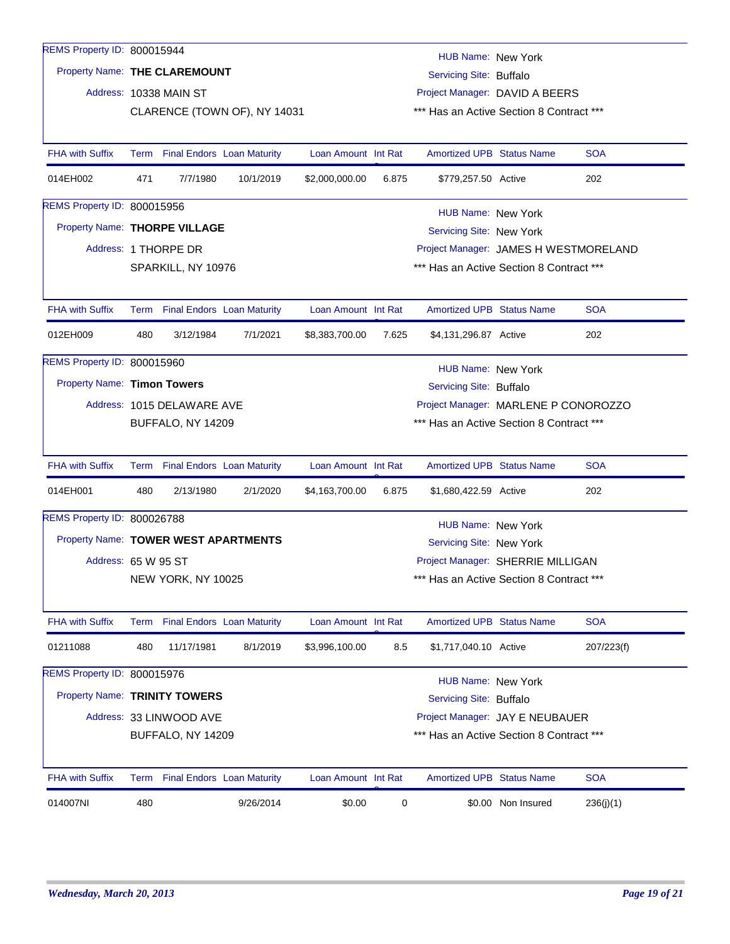| REMS Property ID: 800015944          |                                                                                                  |                                 |           |                     |       | HUB Name: New York                       |                                          |            |
|--------------------------------------|--------------------------------------------------------------------------------------------------|---------------------------------|-----------|---------------------|-------|------------------------------------------|------------------------------------------|------------|
| Property Name: THE CLAREMOUNT        |                                                                                                  |                                 |           |                     |       | Servicing Site: Buffalo                  |                                          |            |
|                                      |                                                                                                  | Address: 10338 MAIN ST          |           |                     |       | Project Manager: DAVID A BEERS           |                                          |            |
|                                      |                                                                                                  | CLARENCE (TOWN OF), NY 14031    |           |                     |       | *** Has an Active Section 8 Contract *** |                                          |            |
|                                      |                                                                                                  |                                 |           |                     |       |                                          |                                          |            |
| <b>FHA with Suffix</b>               |                                                                                                  | Term Final Endors Loan Maturity |           | Loan Amount Int Rat |       | <b>Amortized UPB Status Name</b>         |                                          | <b>SOA</b> |
| 014EH002                             | 471                                                                                              | 7/7/1980                        | 10/1/2019 | \$2,000,000.00      | 6.875 | \$779,257.50 Active                      |                                          | 202        |
| REMS Property ID: 800015956          |                                                                                                  |                                 |           |                     |       | HUB Name: New York                       |                                          |            |
| Property Name: THORPE VILLAGE        |                                                                                                  |                                 |           |                     |       | Servicing Site: New York                 |                                          |            |
|                                      |                                                                                                  | Address: 1 THORPE DR            |           |                     |       | Project Manager: JAMES H WESTMORELAND    |                                          |            |
|                                      |                                                                                                  | SPARKILL, NY 10976              |           |                     |       | *** Has an Active Section 8 Contract *** |                                          |            |
|                                      |                                                                                                  |                                 |           |                     |       |                                          |                                          |            |
| <b>FHA with Suffix</b>               |                                                                                                  | Term Final Endors Loan Maturity |           | Loan Amount Int Rat |       | <b>Amortized UPB Status Name</b>         |                                          | <b>SOA</b> |
| 012EH009                             | 480                                                                                              | 3/12/1984                       | 7/1/2021  | \$8,383,700.00      | 7.625 | \$4,131,296.87 Active                    |                                          | 202        |
| REMS Property ID: 800015960          |                                                                                                  |                                 |           |                     |       | <b>HUB Name: New York</b>                |                                          |            |
| Property Name: Timon Towers          |                                                                                                  |                                 |           |                     |       |                                          |                                          |            |
|                                      | Servicing Site: Buffalo<br>Project Manager: MARLENE P CONOROZZO                                  |                                 |           |                     |       |                                          |                                          |            |
|                                      | Address: 1015 DELAWARE AVE<br>BUFFALO, NY 14209                                                  |                                 |           |                     |       |                                          | *** Has an Active Section 8 Contract *** |            |
|                                      |                                                                                                  |                                 |           |                     |       |                                          |                                          |            |
| <b>FHA with Suffix</b>               |                                                                                                  | Term Final Endors Loan Maturity |           | Loan Amount Int Rat |       | <b>Amortized UPB Status Name</b>         |                                          | <b>SOA</b> |
| 014EH001                             | 480                                                                                              | 2/13/1980                       | 2/1/2020  | \$4,163,700.00      | 6.875 | \$1,680,422.59 Active                    |                                          | 202        |
| REMS Property ID: 800026788          |                                                                                                  |                                 |           |                     |       | <b>HUB Name: New York</b>                |                                          |            |
| Property Name: TOWER WEST APARTMENTS |                                                                                                  |                                 |           |                     |       | Servicing Site: New York                 |                                          |            |
| Address: 65 W 95 ST                  |                                                                                                  |                                 |           |                     |       | Project Manager: SHERRIE MILLIGAN        |                                          |            |
|                                      |                                                                                                  | NEW YORK, NY 10025              |           |                     |       | *** Has an Active Section 8 Contract *** |                                          |            |
|                                      |                                                                                                  |                                 |           |                     |       |                                          |                                          |            |
| <b>FHA with Suffix</b>               |                                                                                                  | Term Final Endors Loan Maturity |           | Loan Amount Int Rat |       | <b>Amortized UPB Status Name</b>         |                                          | <b>SOA</b> |
| 01211088                             | 480                                                                                              | 11/17/1981                      | 8/1/2019  | \$3,996,100.00      | 8.5   | \$1,717,040.10 Active                    |                                          | 207/223(f) |
| REMS Property ID: 800015976          |                                                                                                  |                                 |           |                     |       | <b>HUB Name: New York</b>                |                                          |            |
| Property Name: TRINITY TOWERS        |                                                                                                  |                                 |           |                     |       | Servicing Site: Buffalo                  |                                          |            |
|                                      |                                                                                                  | Address: 33 LINWOOD AVE         |           |                     |       |                                          |                                          |            |
|                                      | Project Manager: JAY E NEUBAUER<br>*** Has an Active Section 8 Contract ***<br>BUFFALO, NY 14209 |                                 |           |                     |       |                                          |                                          |            |
|                                      |                                                                                                  |                                 |           |                     |       |                                          |                                          |            |
| <b>FHA with Suffix</b>               |                                                                                                  | Term Final Endors Loan Maturity |           | Loan Amount Int Rat |       | <b>Amortized UPB Status Name</b>         |                                          | <b>SOA</b> |
| 014007NI                             | 480                                                                                              |                                 | 9/26/2014 | \$0.00              | 0     |                                          | \$0.00 Non Insured                       | 236(j)(1)  |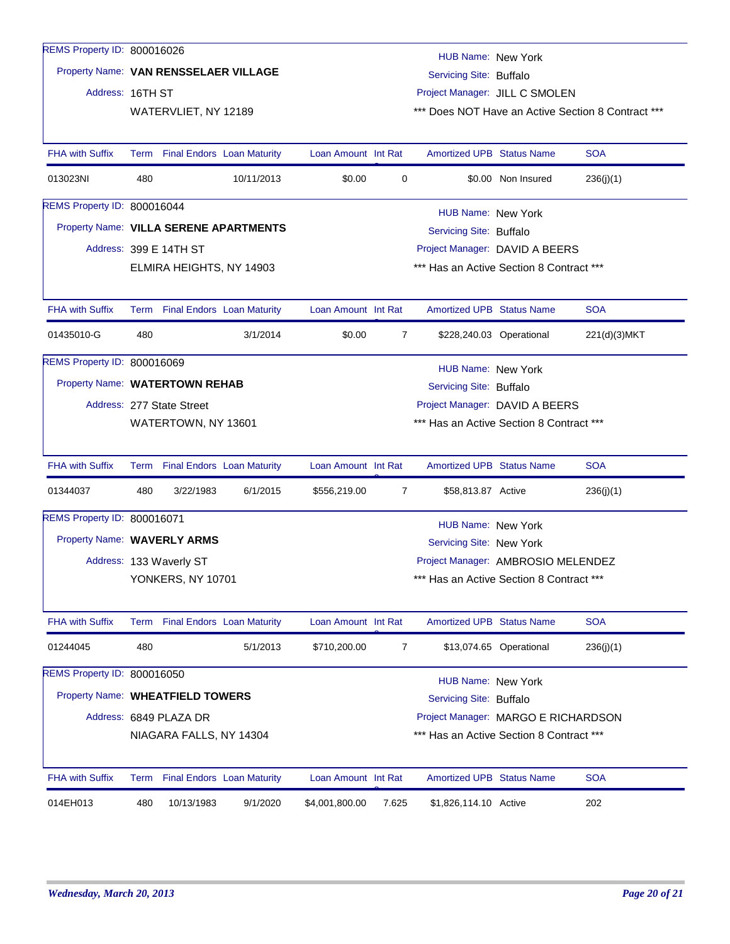| REMS Property ID: 800016026            |      |                                   |            |                     |       | HUB Name: New York                       |                          |                                                    |
|----------------------------------------|------|-----------------------------------|------------|---------------------|-------|------------------------------------------|--------------------------|----------------------------------------------------|
| Property Name: VAN RENSSELAER VILLAGE  |      |                                   |            |                     |       | Servicing Site: Buffalo                  |                          |                                                    |
| Address: 16TH ST                       |      |                                   |            |                     |       | Project Manager: JILL C SMOLEN           |                          |                                                    |
|                                        |      | WATERVLIET, NY 12189              |            |                     |       |                                          |                          | *** Does NOT Have an Active Section 8 Contract *** |
|                                        |      |                                   |            |                     |       |                                          |                          |                                                    |
| <b>FHA with Suffix</b>                 |      | Term Final Endors Loan Maturity   |            | Loan Amount Int Rat |       | <b>Amortized UPB Status Name</b>         |                          | <b>SOA</b>                                         |
| 013023NI                               | 480  |                                   | 10/11/2013 | \$0.00              | 0     |                                          | \$0.00 Non Insured       | 236(j)(1)                                          |
| REMS Property ID: 800016044            |      |                                   |            |                     |       | HUB Name: New York                       |                          |                                                    |
| Property Name: VILLA SERENE APARTMENTS |      |                                   |            |                     |       | Servicing Site: Buffalo                  |                          |                                                    |
|                                        |      | Address: 399 E 14TH ST            |            |                     |       | Project Manager: DAVID A BEERS           |                          |                                                    |
|                                        |      | ELMIRA HEIGHTS, NY 14903          |            |                     |       | *** Has an Active Section 8 Contract *** |                          |                                                    |
|                                        |      |                                   |            |                     |       |                                          |                          |                                                    |
| <b>FHA with Suffix</b>                 |      | Term Final Endors Loan Maturity   |            | Loan Amount Int Rat |       | <b>Amortized UPB Status Name</b>         |                          | <b>SOA</b>                                         |
| 01435010-G                             | 480  |                                   | 3/1/2014   | \$0.00              | 7     |                                          | \$228,240.03 Operational | 221(d)(3)MKT                                       |
| REMS Property ID: 800016069            |      |                                   |            |                     |       | HUB Name: New York                       |                          |                                                    |
| Property Name: WATERTOWN REHAB         |      |                                   |            |                     |       | Servicing Site: Buffalo                  |                          |                                                    |
|                                        |      | Address: 277 State Street         |            |                     |       | Project Manager: DAVID A BEERS           |                          |                                                    |
|                                        |      | WATERTOWN, NY 13601               |            |                     |       | *** Has an Active Section 8 Contract *** |                          |                                                    |
|                                        |      |                                   |            |                     |       |                                          |                          |                                                    |
| <b>FHA with Suffix</b>                 | Term | <b>Final Endors</b> Loan Maturity |            | Loan Amount Int Rat |       | <b>Amortized UPB Status Name</b>         |                          | <b>SOA</b>                                         |
| 01344037                               | 480  | 3/22/1983                         | 6/1/2015   | \$556,219.00        | 7     | \$58,813.87 Active                       |                          | 236(j)(1)                                          |
| REMS Property ID: 800016071            |      |                                   |            |                     |       | <b>HUB Name: New York</b>                |                          |                                                    |
| Property Name: WAVERLY ARMS            |      |                                   |            |                     |       | Servicing Site: New York                 |                          |                                                    |
|                                        |      | Address: 133 Waverly ST           |            |                     |       | Project Manager: AMBROSIO MELENDEZ       |                          |                                                    |
|                                        |      | <b>YONKERS, NY 10701</b>          |            |                     |       | *** Has an Active Section 8 Contract *** |                          |                                                    |
|                                        |      |                                   |            |                     |       |                                          |                          |                                                    |
| FHA with Suffix                        |      | Term Final Endors Loan Maturity   |            | Loan Amount Int Rat |       | Amortized UPB Status Name                |                          | <b>SOA</b>                                         |
| 01244045                               | 480  |                                   | 5/1/2013   | \$710,200.00        | 7     |                                          | \$13,074.65 Operational  | 236(j)(1)                                          |
| REMS Property ID: 800016050            |      |                                   |            |                     |       | <b>HUB Name: New York</b>                |                          |                                                    |
| Property Name: WHEATFIELD TOWERS       |      |                                   |            |                     |       | Servicing Site: Buffalo                  |                          |                                                    |
|                                        |      | Address: 6849 PLAZA DR            |            |                     |       | Project Manager: MARGO E RICHARDSON      |                          |                                                    |
|                                        |      | NIAGARA FALLS, NY 14304           |            |                     |       | *** Has an Active Section 8 Contract *** |                          |                                                    |
|                                        |      |                                   |            |                     |       |                                          |                          |                                                    |
| <b>FHA with Suffix</b>                 |      | Term Final Endors Loan Maturity   |            | Loan Amount Int Rat |       | <b>Amortized UPB Status Name</b>         |                          | <b>SOA</b>                                         |
| 014EH013                               | 480  | 10/13/1983                        | 9/1/2020   | \$4,001,800.00      | 7.625 | \$1,826,114.10 Active                    |                          | 202                                                |